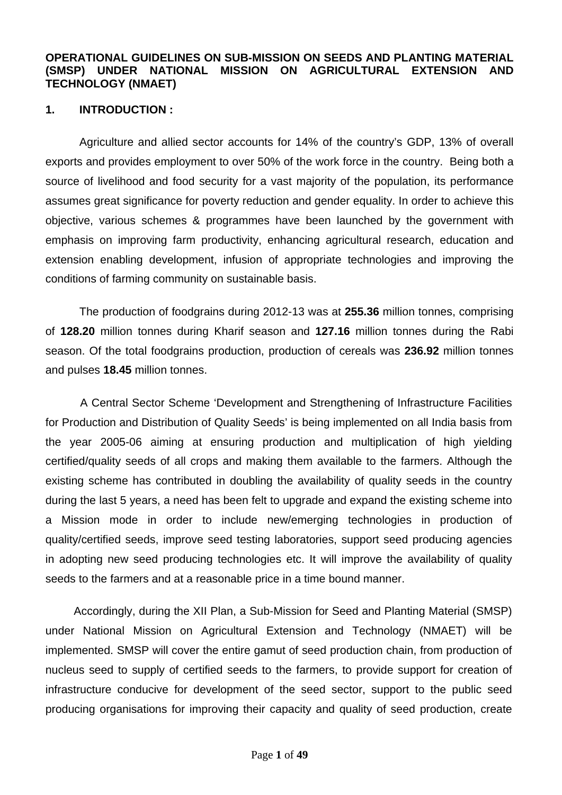## **OPERATIONAL GUIDELINES ON SUB-MISSION ON SEEDS AND PLANTING MATERIAL (SMSP) UNDER NATIONAL MISSION ON AGRICULTURAL EXTENSION AND TECHNOLOGY (NMAET)**

## **1. INTRODUCTION :**

Agriculture and allied sector accounts for 14% of the country's GDP, 13% of overall exports and provides employment to over 50% of the work force in the country. Being both a source of livelihood and food security for a vast majority of the population, its performance assumes great significance for poverty reduction and gender equality. In order to achieve this objective, various schemes & programmes have been launched by the government with emphasis on improving farm productivity, enhancing agricultural research, education and extension enabling development, infusion of appropriate technologies and improving the conditions of farming community on sustainable basis.

The production of foodgrains during 2012-13 was at **255.36** million tonnes, comprising of **128.20** million tonnes during Kharif season and **127.16** million tonnes during the Rabi season. Of the total foodgrains production, production of cereals was **236.92** million tonnes and pulses **18.45** million tonnes.

 A Central Sector Scheme 'Development and Strengthening of Infrastructure Facilities for Production and Distribution of Quality Seeds' is being implemented on all India basis from the year 2005-06 aiming at ensuring production and multiplication of high yielding certified/quality seeds of all crops and making them available to the farmers. Although the existing scheme has contributed in doubling the availability of quality seeds in the country during the last 5 years, a need has been felt to upgrade and expand the existing scheme into a Mission mode in order to include new/emerging technologies in production of quality/certified seeds, improve seed testing laboratories, support seed producing agencies in adopting new seed producing technologies etc. It will improve the availability of quality seeds to the farmers and at a reasonable price in a time bound manner.

 Accordingly, during the XII Plan, a Sub-Mission for Seed and Planting Material (SMSP) under National Mission on Agricultural Extension and Technology (NMAET) will be implemented. SMSP will cover the entire gamut of seed production chain, from production of nucleus seed to supply of certified seeds to the farmers, to provide support for creation of infrastructure conducive for development of the seed sector, support to the public seed producing organisations for improving their capacity and quality of seed production, create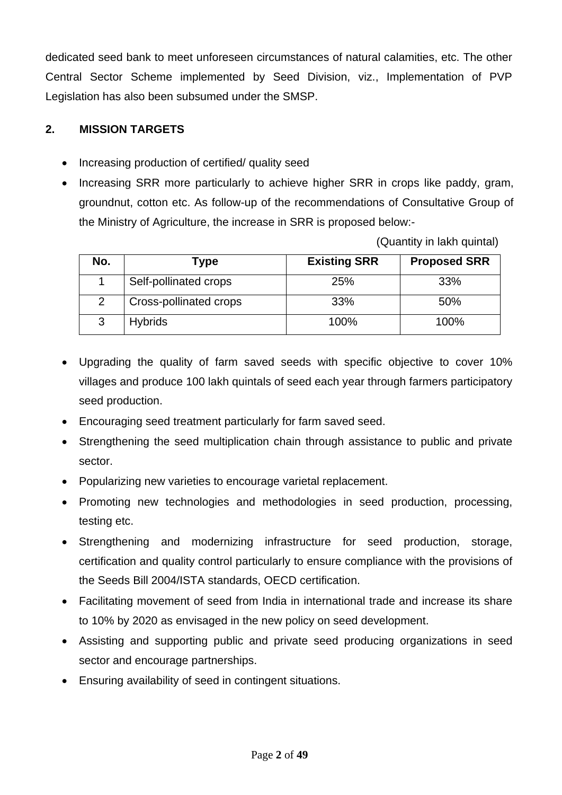dedicated seed bank to meet unforeseen circumstances of natural calamities, etc. The other Central Sector Scheme implemented by Seed Division, viz., Implementation of PVP Legislation has also been subsumed under the SMSP.

# **2. MISSION TARGETS**

- Increasing production of certified/ quality seed
- Increasing SRR more particularly to achieve higher SRR in crops like paddy, gram, groundnut, cotton etc. As follow-up of the recommendations of Consultative Group of the Ministry of Agriculture, the increase in SRR is proposed below:-

(Quantity in lakh quintal)

| No. | Type                   | <b>Existing SRR</b> | <b>Proposed SRR</b> |
|-----|------------------------|---------------------|---------------------|
|     | Self-pollinated crops  | 25%                 | 33%                 |
|     | Cross-pollinated crops | 33%                 | 50%                 |
|     | <b>Hybrids</b>         | 100%                | 100%                |

- Upgrading the quality of farm saved seeds with specific objective to cover 10% villages and produce 100 lakh quintals of seed each year through farmers participatory seed production.
- Encouraging seed treatment particularly for farm saved seed.
- Strengthening the seed multiplication chain through assistance to public and private sector.
- Popularizing new varieties to encourage varietal replacement.
- Promoting new technologies and methodologies in seed production, processing, testing etc.
- Strengthening and modernizing infrastructure for seed production, storage, certification and quality control particularly to ensure compliance with the provisions of the Seeds Bill 2004/ISTA standards, OECD certification.
- Facilitating movement of seed from India in international trade and increase its share to 10% by 2020 as envisaged in the new policy on seed development.
- Assisting and supporting public and private seed producing organizations in seed sector and encourage partnerships.
- Ensuring availability of seed in contingent situations.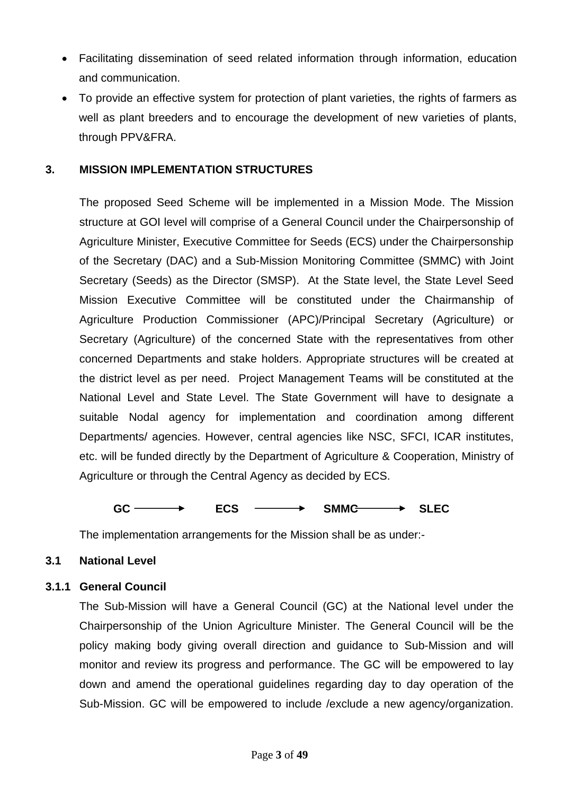- Facilitating dissemination of seed related information through information, education and communication.
- To provide an effective system for protection of plant varieties, the rights of farmers as well as plant breeders and to encourage the development of new varieties of plants, through PPV&FRA.

## **3. MISSION IMPLEMENTATION STRUCTURES**

The proposed Seed Scheme will be implemented in a Mission Mode. The Mission structure at GOI level will comprise of a General Council under the Chairpersonship of Agriculture Minister, Executive Committee for Seeds (ECS) under the Chairpersonship of the Secretary (DAC) and a Sub-Mission Monitoring Committee (SMMC) with Joint Secretary (Seeds) as the Director (SMSP). At the State level, the State Level Seed Mission Executive Committee will be constituted under the Chairmanship of Agriculture Production Commissioner (APC)/Principal Secretary (Agriculture) or Secretary (Agriculture) of the concerned State with the representatives from other concerned Departments and stake holders. Appropriate structures will be created at the district level as per need. Project Management Teams will be constituted at the National Level and State Level. The State Government will have to designate a suitable Nodal agency for implementation and coordination among different Departments/ agencies. However, central agencies like NSC, SFCI, ICAR institutes, etc. will be funded directly by the Department of Agriculture & Cooperation, Ministry of Agriculture or through the Central Agency as decided by ECS.

**GC ECS SMMC SLEC** 

The implementation arrangements for the Mission shall be as under:-

## **3.1 National Level**

## **3.1.1 General Council**

The Sub-Mission will have a General Council (GC) at the National level under the Chairpersonship of the Union Agriculture Minister. The General Council will be the policy making body giving overall direction and guidance to Sub-Mission and will monitor and review its progress and performance. The GC will be empowered to lay down and amend the operational guidelines regarding day to day operation of the Sub-Mission. GC will be empowered to include /exclude a new agency/organization.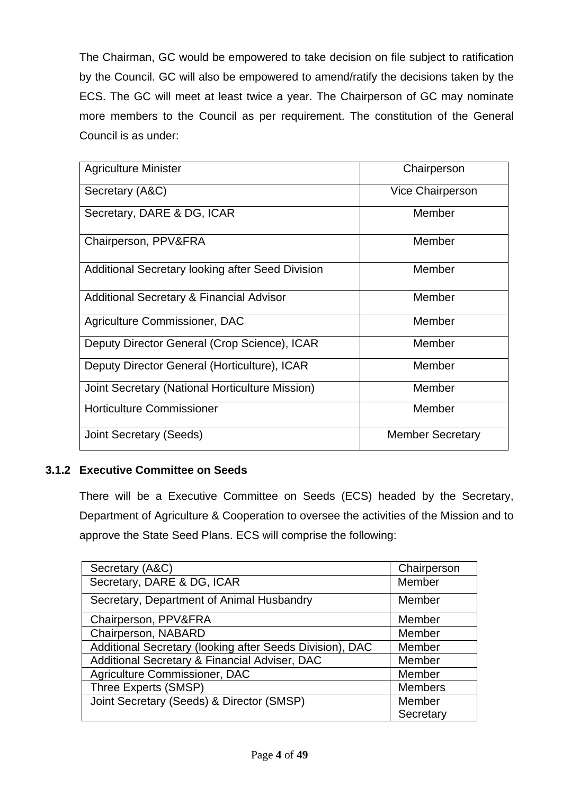The Chairman, GC would be empowered to take decision on file subject to ratification by the Council. GC will also be empowered to amend/ratify the decisions taken by the ECS. The GC will meet at least twice a year. The Chairperson of GC may nominate more members to the Council as per requirement. The constitution of the General Council is as under:

| <b>Agriculture Minister</b>                         | Chairperson             |
|-----------------------------------------------------|-------------------------|
| Secretary (A&C)                                     | <b>Vice Chairperson</b> |
| Secretary, DARE & DG, ICAR                          | Member                  |
| Chairperson, PPV&FRA                                | Member                  |
| Additional Secretary looking after Seed Division    | Member                  |
| <b>Additional Secretary &amp; Financial Advisor</b> | Member                  |
| Agriculture Commissioner, DAC                       | Member                  |
| Deputy Director General (Crop Science), ICAR        | Member                  |
| Deputy Director General (Horticulture), ICAR        | Member                  |
| Joint Secretary (National Horticulture Mission)     | Member                  |
| <b>Horticulture Commissioner</b>                    | Member                  |
| Joint Secretary (Seeds)                             | <b>Member Secretary</b> |

# **3.1.2 Executive Committee on Seeds**

There will be a Executive Committee on Seeds (ECS) headed by the Secretary, Department of Agriculture & Cooperation to oversee the activities of the Mission and to approve the State Seed Plans. ECS will comprise the following:

| Secretary (A&C)                                          | Chairperson    |
|----------------------------------------------------------|----------------|
| Secretary, DARE & DG, ICAR                               | Member         |
| Secretary, Department of Animal Husbandry                | Member         |
| Chairperson, PPV&FRA                                     | Member         |
| Chairperson, NABARD                                      | Member         |
| Additional Secretary (looking after Seeds Division), DAC | Member         |
| Additional Secretary & Financial Adviser, DAC            | Member         |
| Agriculture Commissioner, DAC                            | Member         |
| Three Experts (SMSP)                                     | <b>Members</b> |
| Joint Secretary (Seeds) & Director (SMSP)                | Member         |
|                                                          | Secretary      |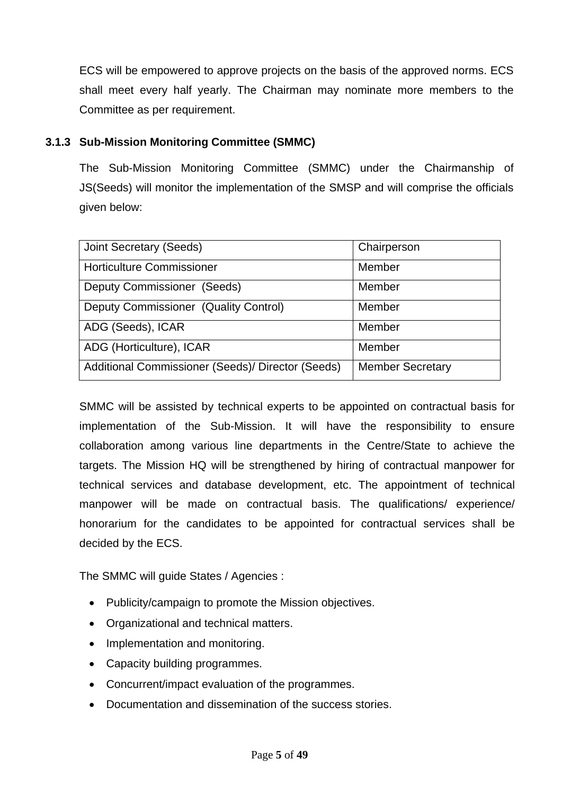ECS will be empowered to approve projects on the basis of the approved norms. ECS shall meet every half yearly. The Chairman may nominate more members to the Committee as per requirement.

# **3.1.3 Sub-Mission Monitoring Committee (SMMC)**

The Sub-Mission Monitoring Committee (SMMC) under the Chairmanship of JS(Seeds) will monitor the implementation of the SMSP and will comprise the officials given below:

| <b>Joint Secretary (Seeds)</b>                    | Chairperson             |
|---------------------------------------------------|-------------------------|
| <b>Horticulture Commissioner</b>                  | Member                  |
| Deputy Commissioner (Seeds)                       | Member                  |
| Deputy Commissioner (Quality Control)             | Member                  |
| ADG (Seeds), ICAR                                 | Member                  |
| ADG (Horticulture), ICAR                          | Member                  |
| Additional Commissioner (Seeds)/ Director (Seeds) | <b>Member Secretary</b> |

SMMC will be assisted by technical experts to be appointed on contractual basis for implementation of the Sub-Mission. It will have the responsibility to ensure collaboration among various line departments in the Centre/State to achieve the targets. The Mission HQ will be strengthened by hiring of contractual manpower for technical services and database development, etc. The appointment of technical manpower will be made on contractual basis. The qualifications/ experience/ honorarium for the candidates to be appointed for contractual services shall be decided by the ECS.

The SMMC will guide States / Agencies :

- Publicity/campaign to promote the Mission objectives.
- Organizational and technical matters.
- Implementation and monitoring.
- Capacity building programmes.
- Concurrent/impact evaluation of the programmes.
- Documentation and dissemination of the success stories.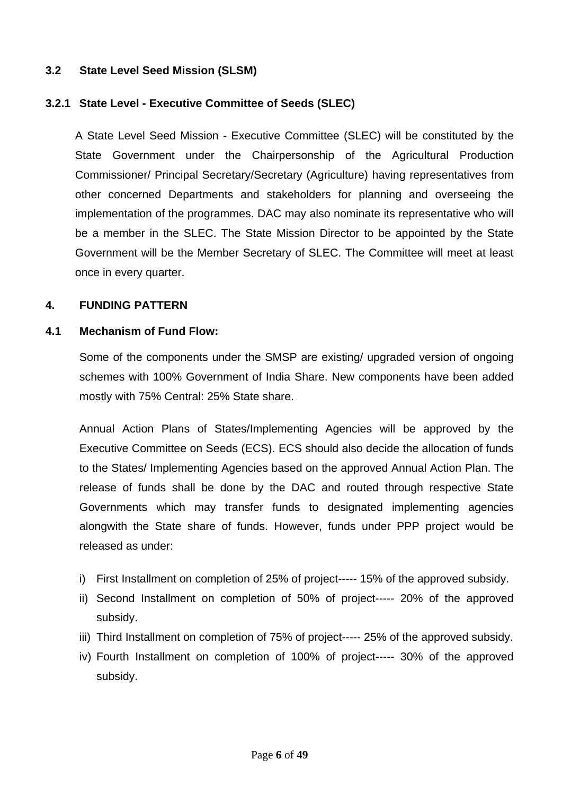# **3.2 State Level Seed Mission (SLSM)**

## **3.2.1 State Level - Executive Committee of Seeds (SLEC)**

A State Level Seed Mission - Executive Committee (SLEC) will be constituted by the State Government under the Chairpersonship of the Agricultural Production Commissioner/ Principal Secretary/Secretary (Agriculture) having representatives from other concerned Departments and stakeholders for planning and overseeing the implementation of the programmes. DAC may also nominate its representative who will be a member in the SLEC. The State Mission Director to be appointed by the State Government will be the Member Secretary of SLEC. The Committee will meet at least once in every quarter.

## **4. FUNDING PATTERN**

### **4.1 Mechanism of Fund Flow:**

Some of the components under the SMSP are existing/ upgraded version of ongoing schemes with 100% Government of India Share. New components have been added mostly with 75% Central: 25% State share.

Annual Action Plans of States/Implementing Agencies will be approved by the Executive Committee on Seeds (ECS). ECS should also decide the allocation of funds to the States/ Implementing Agencies based on the approved Annual Action Plan. The release of funds shall be done by the DAC and routed through respective State Governments which may transfer funds to designated implementing agencies alongwith the State share of funds. However, funds under PPP project would be released as under:

- i) First Installment on completion of 25% of project----- 15% of the approved subsidy.
- ii) Second Installment on completion of 50% of project----- 20% of the approved subsidy.
- iii) Third Installment on completion of 75% of project----- 25% of the approved subsidy.
- iv) Fourth Installment on completion of 100% of project----- 30% of the approved subsidy.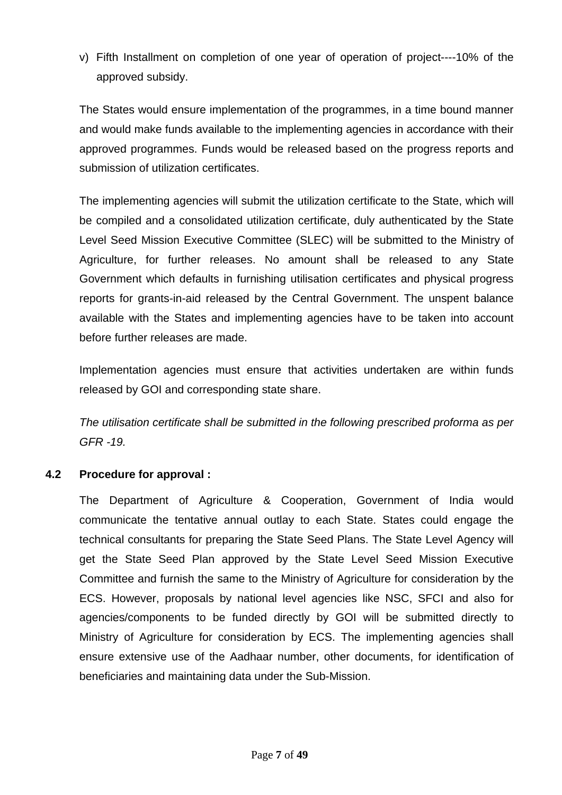v) Fifth Installment on completion of one year of operation of project----10% of the approved subsidy.

The States would ensure implementation of the programmes, in a time bound manner and would make funds available to the implementing agencies in accordance with their approved programmes. Funds would be released based on the progress reports and submission of utilization certificates.

The implementing agencies will submit the utilization certificate to the State, which will be compiled and a consolidated utilization certificate, duly authenticated by the State Level Seed Mission Executive Committee (SLEC) will be submitted to the Ministry of Agriculture, for further releases. No amount shall be released to any State Government which defaults in furnishing utilisation certificates and physical progress reports for grants-in-aid released by the Central Government. The unspent balance available with the States and implementing agencies have to be taken into account before further releases are made.

Implementation agencies must ensure that activities undertaken are within funds released by GOI and corresponding state share.

*The utilisation certificate shall be submitted in the following prescribed proforma as per GFR -19.* 

# **4.2 Procedure for approval :**

The Department of Agriculture & Cooperation, Government of India would communicate the tentative annual outlay to each State. States could engage the technical consultants for preparing the State Seed Plans. The State Level Agency will get the State Seed Plan approved by the State Level Seed Mission Executive Committee and furnish the same to the Ministry of Agriculture for consideration by the ECS. However, proposals by national level agencies like NSC, SFCI and also for agencies/components to be funded directly by GOI will be submitted directly to Ministry of Agriculture for consideration by ECS. The implementing agencies shall ensure extensive use of the Aadhaar number, other documents, for identification of beneficiaries and maintaining data under the Sub-Mission.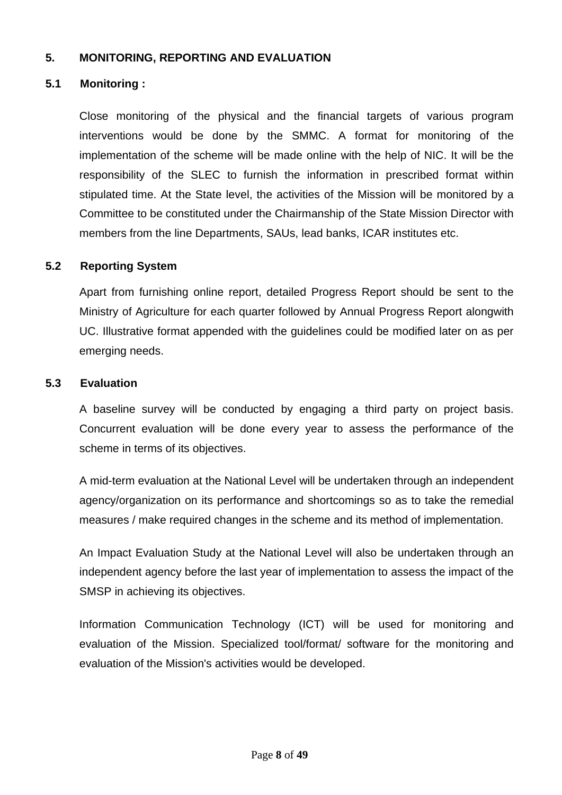# **5. MONITORING, REPORTING AND EVALUATION**

# **5.1 Monitoring :**

Close monitoring of the physical and the financial targets of various program interventions would be done by the SMMC. A format for monitoring of the implementation of the scheme will be made online with the help of NIC. It will be the responsibility of the SLEC to furnish the information in prescribed format within stipulated time. At the State level, the activities of the Mission will be monitored by a Committee to be constituted under the Chairmanship of the State Mission Director with members from the line Departments, SAUs, lead banks, ICAR institutes etc.

## **5.2 Reporting System**

Apart from furnishing online report, detailed Progress Report should be sent to the Ministry of Agriculture for each quarter followed by Annual Progress Report alongwith UC. Illustrative format appended with the guidelines could be modified later on as per emerging needs.

## **5.3 Evaluation**

A baseline survey will be conducted by engaging a third party on project basis. Concurrent evaluation will be done every year to assess the performance of the scheme in terms of its objectives.

A mid-term evaluation at the National Level will be undertaken through an independent agency/organization on its performance and shortcomings so as to take the remedial measures / make required changes in the scheme and its method of implementation.

An Impact Evaluation Study at the National Level will also be undertaken through an independent agency before the last year of implementation to assess the impact of the SMSP in achieving its objectives.

Information Communication Technology (ICT) will be used for monitoring and evaluation of the Mission. Specialized tool/format/ software for the monitoring and evaluation of the Mission's activities would be developed.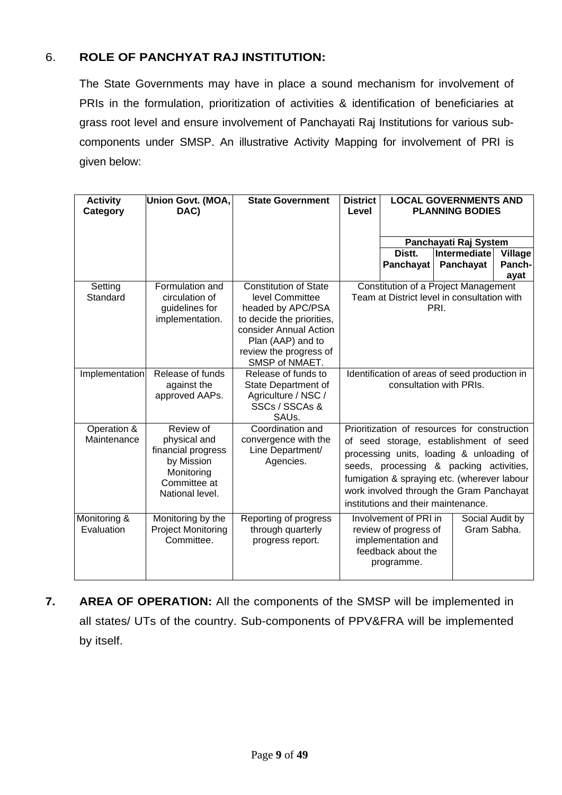# 6. **ROLE OF PANCHYAT RAJ INSTITUTION:**

The State Governments may have in place a sound mechanism for involvement of PRIs in the formulation, prioritization of activities & identification of beneficiaries at grass root level and ensure involvement of Panchayati Raj Institutions for various subcomponents under SMSP. An illustrative Activity Mapping for involvement of PRI is given below:

| <b>Activity</b><br>Category | Union Govt. (MOA,<br>DAC)                                                                                      | <b>State Government</b>                                                                                                                                                                      | <b>District</b><br>Level |                                                                                                                                                                                                                                                                                                                 | <b>LOCAL GOVERNMENTS AND</b><br><b>PLANNING BODIES</b> |                                  |
|-----------------------------|----------------------------------------------------------------------------------------------------------------|----------------------------------------------------------------------------------------------------------------------------------------------------------------------------------------------|--------------------------|-----------------------------------------------------------------------------------------------------------------------------------------------------------------------------------------------------------------------------------------------------------------------------------------------------------------|--------------------------------------------------------|----------------------------------|
|                             |                                                                                                                |                                                                                                                                                                                              |                          |                                                                                                                                                                                                                                                                                                                 | Panchayati Raj System                                  |                                  |
|                             |                                                                                                                |                                                                                                                                                                                              |                          | Distt.<br>Panchayat                                                                                                                                                                                                                                                                                             | Intermediate<br>Panchayat                              | <b>Village</b><br>Panch-<br>ayat |
| Setting<br>Standard         | Formulation and<br>circulation of<br>guidelines for<br>implementation.                                         | <b>Constitution of State</b><br>level Committee<br>headed by APC/PSA<br>to decide the priorities,<br>consider Annual Action<br>Plan (AAP) and to<br>review the progress of<br>SMSP of NMAET. |                          | <b>Constitution of a Project Management</b><br>Team at District level in consultation with                                                                                                                                                                                                                      | PRI.                                                   |                                  |
| Implementation              | Release of funds<br>against the<br>approved AAPs.                                                              | Release of funds to<br>State Department of<br>Agriculture / NSC /<br>SSCs / SSCAs &<br>SAU <sub>s</sub> .                                                                                    |                          | Identification of areas of seed production in                                                                                                                                                                                                                                                                   | consultation with PRIs.                                |                                  |
| Operation &<br>Maintenance  | Review of<br>physical and<br>financial progress<br>by Mission<br>Monitoring<br>Committee at<br>National level. | Coordination and<br>convergence with the<br>Line Department/<br>Agencies.                                                                                                                    |                          | Prioritization of resources for construction<br>of seed storage, establishment of seed<br>processing units, loading & unloading of<br>seeds, processing & packing activities,<br>fumigation & spraying etc. (wherever labour<br>work involved through the Gram Panchayat<br>institutions and their maintenance. |                                                        |                                  |
| Monitoring &<br>Evaluation  | Monitoring by the<br><b>Project Monitoring</b><br>Committee.                                                   | Reporting of progress<br>through quarterly<br>progress report.                                                                                                                               |                          | Involvement of PRI in<br>review of progress of<br>implementation and<br>feedback about the<br>programme.                                                                                                                                                                                                        |                                                        | Social Audit by<br>Gram Sabha.   |

**7. AREA OF OPERATION:** All the components of the SMSP will be implemented in all states/ UTs of the country. Sub-components of PPV&FRA will be implemented by itself.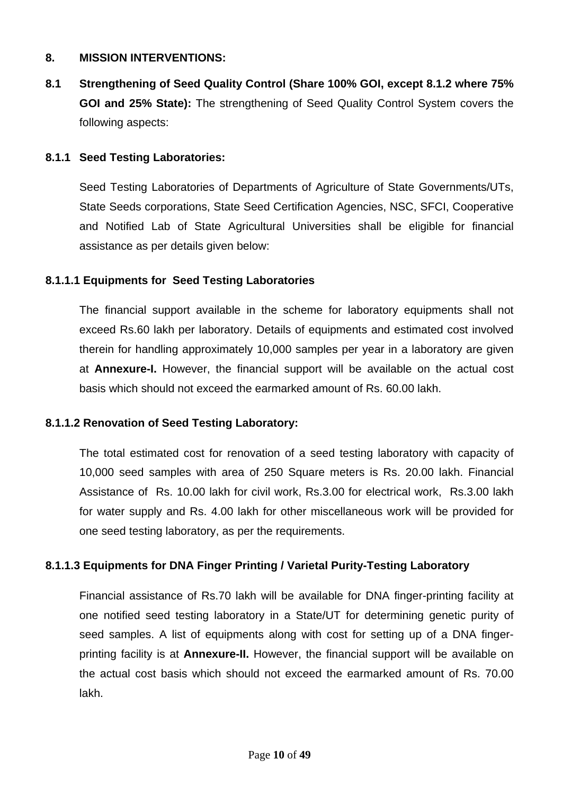## **8. MISSION INTERVENTIONS:**

**8.1 Strengthening of Seed Quality Control (Share 100% GOI, except 8.1.2 where 75% GOI and 25% State):** The strengthening of Seed Quality Control System covers the following aspects:

## **8.1.1 Seed Testing Laboratories:**

Seed Testing Laboratories of Departments of Agriculture of State Governments/UTs, State Seeds corporations, State Seed Certification Agencies, NSC, SFCI, Cooperative and Notified Lab of State Agricultural Universities shall be eligible for financial assistance as per details given below:

## **8.1.1.1 Equipments for Seed Testing Laboratories**

The financial support available in the scheme for laboratory equipments shall not exceed Rs.60 lakh per laboratory. Details of equipments and estimated cost involved therein for handling approximately 10,000 samples per year in a laboratory are given at **Annexure-I.** However, the financial support will be available on the actual cost basis which should not exceed the earmarked amount of Rs. 60.00 lakh.

## **8.1.1.2 Renovation of Seed Testing Laboratory:**

The total estimated cost for renovation of a seed testing laboratory with capacity of 10,000 seed samples with area of 250 Square meters is Rs. 20.00 lakh. Financial Assistance of Rs. 10.00 lakh for civil work, Rs.3.00 for electrical work, Rs.3.00 lakh for water supply and Rs. 4.00 lakh for other miscellaneous work will be provided for one seed testing laboratory, as per the requirements.

# **8.1.1.3 Equipments for DNA Finger Printing / Varietal Purity-Testing Laboratory**

Financial assistance of Rs.70 lakh will be available for DNA finger-printing facility at one notified seed testing laboratory in a State/UT for determining genetic purity of seed samples. A list of equipments along with cost for setting up of a DNA fingerprinting facility is at **Annexure-II.** However, the financial support will be available on the actual cost basis which should not exceed the earmarked amount of Rs. 70.00 lakh.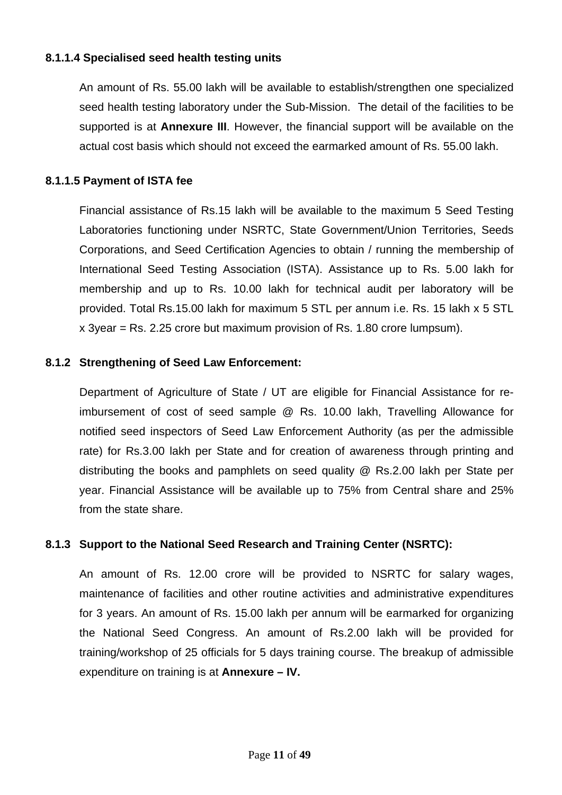## **8.1.1.4 Specialised seed health testing units**

An amount of Rs. 55.00 lakh will be available to establish/strengthen one specialized seed health testing laboratory under the Sub-Mission. The detail of the facilities to be supported is at **Annexure III**. However, the financial support will be available on the actual cost basis which should not exceed the earmarked amount of Rs. 55.00 lakh.

## **8.1.1.5 Payment of ISTA fee**

Financial assistance of Rs.15 lakh will be available to the maximum 5 Seed Testing Laboratories functioning under NSRTC, State Government/Union Territories, Seeds Corporations, and Seed Certification Agencies to obtain / running the membership of International Seed Testing Association (ISTA). Assistance up to Rs. 5.00 lakh for membership and up to Rs. 10.00 lakh for technical audit per laboratory will be provided. Total Rs.15.00 lakh for maximum 5 STL per annum i.e. Rs. 15 lakh x 5 STL x 3year = Rs. 2.25 crore but maximum provision of Rs. 1.80 crore lumpsum).

## **8.1.2 Strengthening of Seed Law Enforcement:**

Department of Agriculture of State / UT are eligible for Financial Assistance for reimbursement of cost of seed sample @ Rs. 10.00 lakh, Travelling Allowance for notified seed inspectors of Seed Law Enforcement Authority (as per the admissible rate) for Rs.3.00 lakh per State and for creation of awareness through printing and distributing the books and pamphlets on seed quality @ Rs.2.00 lakh per State per year. Financial Assistance will be available up to 75% from Central share and 25% from the state share.

## **8.1.3 Support to the National Seed Research and Training Center (NSRTC):**

An amount of Rs. 12.00 crore will be provided to NSRTC for salary wages, maintenance of facilities and other routine activities and administrative expenditures for 3 years. An amount of Rs. 15.00 lakh per annum will be earmarked for organizing the National Seed Congress. An amount of Rs.2.00 lakh will be provided for training/workshop of 25 officials for 5 days training course. The breakup of admissible expenditure on training is at **Annexure – IV.**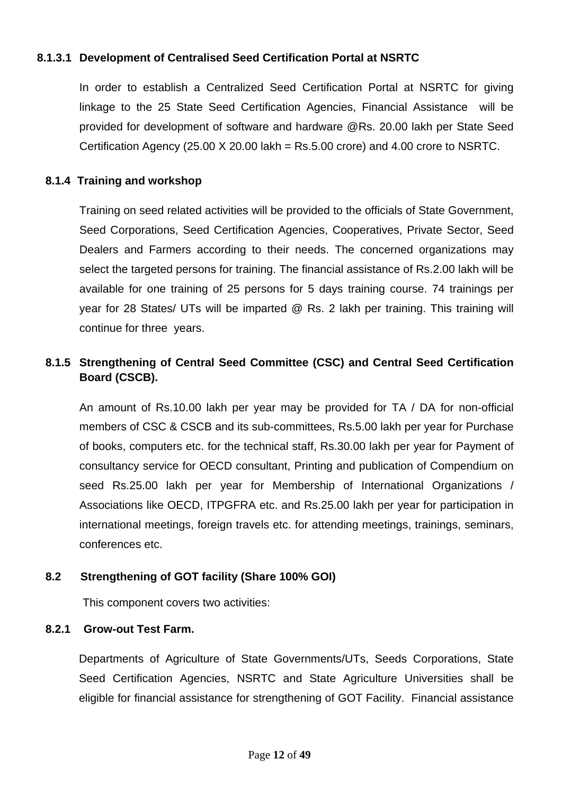# **8.1.3.1 Development of Centralised Seed Certification Portal at NSRTC**

In order to establish a Centralized Seed Certification Portal at NSRTC for giving linkage to the 25 State Seed Certification Agencies, Financial Assistance will be provided for development of software and hardware @Rs. 20.00 lakh per State Seed Certification Agency (25.00 X 20.00 lakh = Rs.5.00 crore) and 4.00 crore to NSRTC.

# **8.1.4 Training and workshop**

Training on seed related activities will be provided to the officials of State Government, Seed Corporations, Seed Certification Agencies, Cooperatives, Private Sector, Seed Dealers and Farmers according to their needs. The concerned organizations may select the targeted persons for training. The financial assistance of Rs.2.00 lakh will be available for one training of 25 persons for 5 days training course. 74 trainings per year for 28 States/ UTs will be imparted @ Rs. 2 lakh per training. This training will continue for three years.

# **8.1.5 Strengthening of Central Seed Committee (CSC) and Central Seed Certification Board (CSCB).**

 An amount of Rs.10.00 lakh per year may be provided for TA / DA for non-official members of CSC & CSCB and its sub-committees, Rs.5.00 lakh per year for Purchase of books, computers etc. for the technical staff, Rs.30.00 lakh per year for Payment of consultancy service for OECD consultant, Printing and publication of Compendium on seed Rs.25.00 lakh per year for Membership of International Organizations / Associations like OECD, ITPGFRA etc. and Rs.25.00 lakh per year for participation in international meetings, foreign travels etc. for attending meetings, trainings, seminars, conferences etc.

# **8.2 Strengthening of GOT facility (Share 100% GOI)**

This component covers two activities:

# **8.2.1 Grow-out Test Farm.**

Departments of Agriculture of State Governments/UTs, Seeds Corporations, State Seed Certification Agencies, NSRTC and State Agriculture Universities shall be eligible for financial assistance for strengthening of GOT Facility. Financial assistance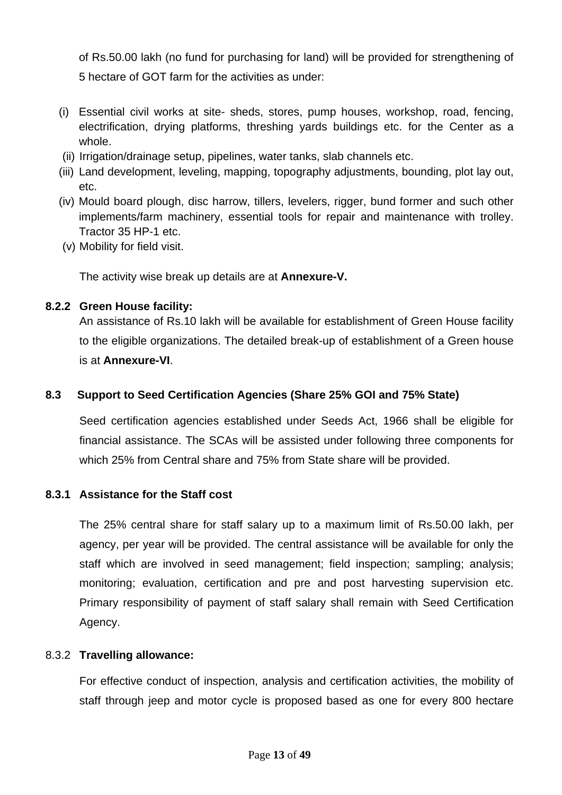of Rs.50.00 lakh (no fund for purchasing for land) will be provided for strengthening of 5 hectare of GOT farm for the activities as under:

- (i) Essential civil works at site- sheds, stores, pump houses, workshop, road, fencing, electrification, drying platforms, threshing yards buildings etc. for the Center as a whole.
- (ii) Irrigation/drainage setup, pipelines, water tanks, slab channels etc.
- (iii) Land development, leveling, mapping, topography adjustments, bounding, plot lay out, etc.
- (iv) Mould board plough, disc harrow, tillers, levelers, rigger, bund former and such other implements/farm machinery, essential tools for repair and maintenance with trolley. Tractor 35 HP-1 etc.
- (v) Mobility for field visit.

The activity wise break up details are at **Annexure-V.**

## **8.2.2 Green House facility:**

An assistance of Rs.10 lakh will be available for establishment of Green House facility to the eligible organizations. The detailed break-up of establishment of a Green house is at **Annexure-VI**.

# **8.3 Support to Seed Certification Agencies (Share 25% GOI and 75% State)**

Seed certification agencies established under Seeds Act, 1966 shall be eligible for financial assistance. The SCAs will be assisted under following three components for which 25% from Central share and 75% from State share will be provided.

## **8.3.1 Assistance for the Staff cost**

The 25% central share for staff salary up to a maximum limit of Rs.50.00 lakh, per agency, per year will be provided. The central assistance will be available for only the staff which are involved in seed management; field inspection; sampling; analysis; monitoring; evaluation, certification and pre and post harvesting supervision etc. Primary responsibility of payment of staff salary shall remain with Seed Certification Agency.

## 8.3.2 **Travelling allowance:**

For effective conduct of inspection, analysis and certification activities, the mobility of staff through jeep and motor cycle is proposed based as one for every 800 hectare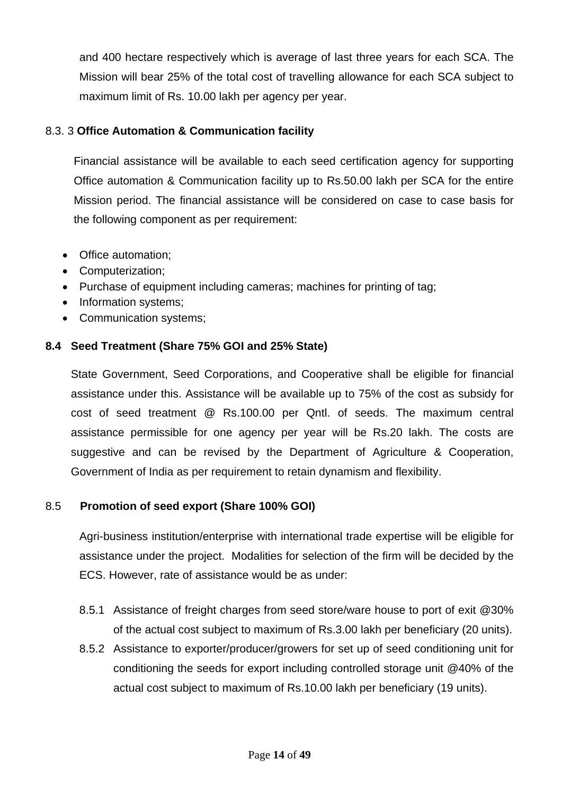and 400 hectare respectively which is average of last three years for each SCA. The Mission will bear 25% of the total cost of travelling allowance for each SCA subject to maximum limit of Rs. 10.00 lakh per agency per year.

# 8.3. 3 **Office Automation & Communication facility**

Financial assistance will be available to each seed certification agency for supporting Office automation & Communication facility up to Rs.50.00 lakh per SCA for the entire Mission period. The financial assistance will be considered on case to case basis for the following component as per requirement:

- Office automation;
- Computerization;
- Purchase of equipment including cameras; machines for printing of tag;
- Information systems;
- Communication systems;

# **8.4 Seed Treatment (Share 75% GOI and 25% State)**

State Government, Seed Corporations, and Cooperative shall be eligible for financial assistance under this. Assistance will be available up to 75% of the cost as subsidy for cost of seed treatment @ Rs.100.00 per Qntl. of seeds. The maximum central assistance permissible for one agency per year will be Rs.20 lakh. The costs are suggestive and can be revised by the Department of Agriculture & Cooperation, Government of India as per requirement to retain dynamism and flexibility.

# 8.5 **Promotion of seed export (Share 100% GOI)**

Agri-business institution/enterprise with international trade expertise will be eligible for assistance under the project. Modalities for selection of the firm will be decided by the ECS. However, rate of assistance would be as under:

- 8.5.1 Assistance of freight charges from seed store/ware house to port of exit @30% of the actual cost subject to maximum of Rs.3.00 lakh per beneficiary (20 units).
- 8.5.2 Assistance to exporter/producer/growers for set up of seed conditioning unit for conditioning the seeds for export including controlled storage unit @40% of the actual cost subject to maximum of Rs.10.00 lakh per beneficiary (19 units).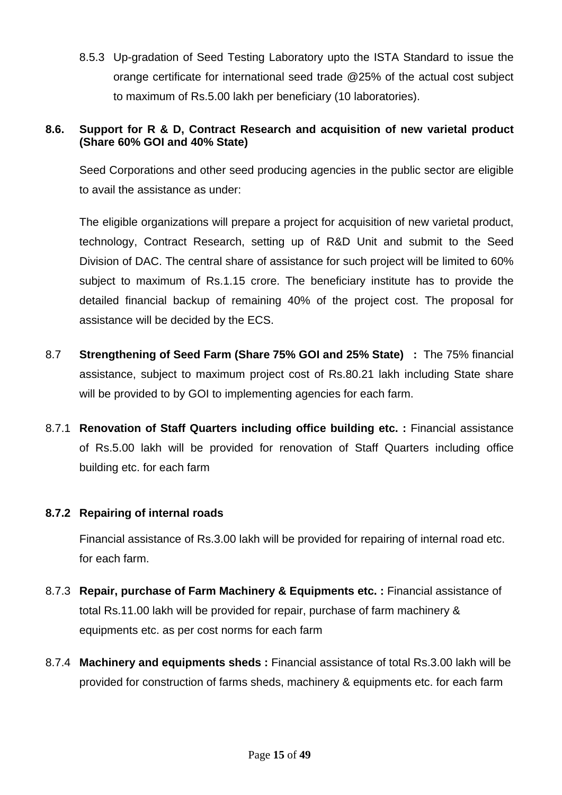8.5.3 Up-gradation of Seed Testing Laboratory upto the ISTA Standard to issue the orange certificate for international seed trade @25% of the actual cost subject to maximum of Rs.5.00 lakh per beneficiary (10 laboratories).

# **8.6. Support for R & D, Contract Research and acquisition of new varietal product (Share 60% GOI and 40% State)**

Seed Corporations and other seed producing agencies in the public sector are eligible to avail the assistance as under:

The eligible organizations will prepare a project for acquisition of new varietal product, technology, Contract Research, setting up of R&D Unit and submit to the Seed Division of DAC. The central share of assistance for such project will be limited to 60% subject to maximum of Rs.1.15 crore. The beneficiary institute has to provide the detailed financial backup of remaining 40% of the project cost. The proposal for assistance will be decided by the ECS.

- 8.7 **Strengthening of Seed Farm (Share 75% GOI and 25% State) :** The 75% financial assistance, subject to maximum project cost of Rs.80.21 lakh including State share will be provided to by GOI to implementing agencies for each farm.
- 8.7.1 **Renovation of Staff Quarters including office building etc. :** Financial assistance of Rs.5.00 lakh will be provided for renovation of Staff Quarters including office building etc. for each farm

# **8.7.2 Repairing of internal roads**

Financial assistance of Rs.3.00 lakh will be provided for repairing of internal road etc. for each farm.

- 8.7.3 **Repair, purchase of Farm Machinery & Equipments etc. :** Financial assistance of total Rs.11.00 lakh will be provided for repair, purchase of farm machinery & equipments etc. as per cost norms for each farm
- 8.7.4 **Machinery and equipments sheds :** Financial assistance of total Rs.3.00 lakh will be provided for construction of farms sheds, machinery & equipments etc. for each farm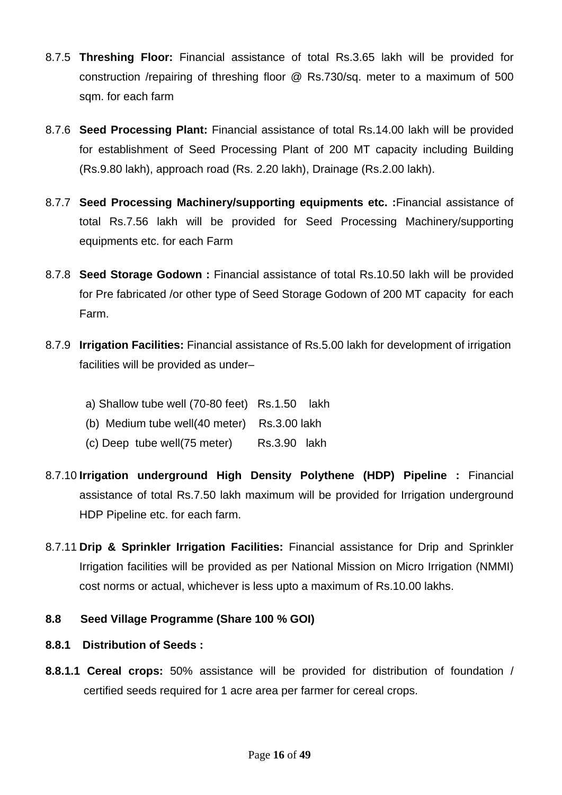- 8.7.5 **Threshing Floor:** Financial assistance of total Rs.3.65 lakh will be provided for construction /repairing of threshing floor @ Rs.730/sq. meter to a maximum of 500 sqm. for each farm
- 8.7.6 **Seed Processing Plant:** Financial assistance of total Rs.14.00 lakh will be provided for establishment of Seed Processing Plant of 200 MT capacity including Building (Rs.9.80 lakh), approach road (Rs. 2.20 lakh), Drainage (Rs.2.00 lakh).
- 8.7.7 **Seed Processing Machinery/supporting equipments etc. :**Financial assistance of total Rs.7.56 lakh will be provided for Seed Processing Machinery/supporting equipments etc. for each Farm
- 8.7.8 **Seed Storage Godown :** Financial assistance of total Rs.10.50 lakh will be provided for Pre fabricated /or other type of Seed Storage Godown of 200 MT capacity for each Farm.
- 8.7.9 **Irrigation Facilities:** Financial assistance of Rs.5.00 lakh for development of irrigation facilities will be provided as under–
	- a) Shallow tube well (70-80 feet) Rs.1.50 lakh
	- (b) Medium tube well(40 meter) Rs.3.00 lakh
	- (c) Deep tube well(75 meter) Rs.3.90 lakh
- 8.7.10 **Irrigation underground High Density Polythene (HDP) Pipeline :** Financial assistance of total Rs.7.50 lakh maximum will be provided for Irrigation underground HDP Pipeline etc. for each farm.
- 8.7.11 **Drip & Sprinkler Irrigation Facilities:** Financial assistance for Drip and Sprinkler Irrigation facilities will be provided as per National Mission on Micro Irrigation (NMMI) cost norms or actual, whichever is less upto a maximum of Rs.10.00 lakhs.

## **8.8 Seed Village Programme (Share 100 % GOI)**

## **8.8.1 Distribution of Seeds :**

**8.8.1.1 Cereal crops:** 50% assistance will be provided for distribution of foundation / certified seeds required for 1 acre area per farmer for cereal crops.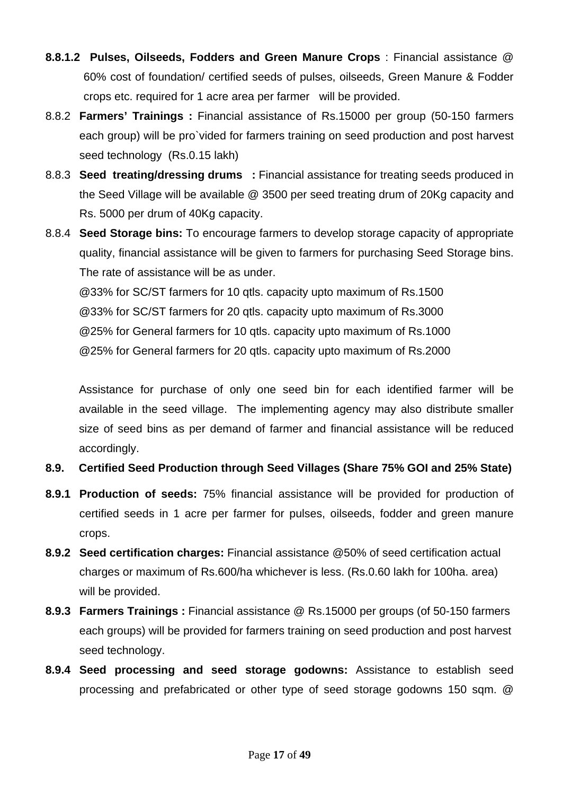- **8.8.1.2 Pulses, Oilseeds, Fodders and Green Manure Crops** : Financial assistance @ 60% cost of foundation/ certified seeds of pulses, oilseeds, Green Manure & Fodder crops etc. required for 1 acre area per farmer will be provided.
- 8.8.2 **Farmers' Trainings :** Financial assistance of Rs.15000 per group (50-150 farmers each group) will be pro`vided for farmers training on seed production and post harvest seed technology (Rs.0.15 lakh)
- 8.8.3 **Seed treating/dressing drums :** Financial assistance for treating seeds produced in the Seed Village will be available @ 3500 per seed treating drum of 20Kg capacity and Rs. 5000 per drum of 40Kg capacity.
- 8.8.4 **Seed Storage bins:** To encourage farmers to develop storage capacity of appropriate quality, financial assistance will be given to farmers for purchasing Seed Storage bins. The rate of assistance will be as under.

@33% for SC/ST farmers for 10 qtls. capacity upto maximum of Rs.1500 @33% for SC/ST farmers for 20 qtls. capacity upto maximum of Rs.3000 @25% for General farmers for 10 qtls. capacity upto maximum of Rs.1000 @25% for General farmers for 20 qtls. capacity upto maximum of Rs.2000

Assistance for purchase of only one seed bin for each identified farmer will be available in the seed village. The implementing agency may also distribute smaller size of seed bins as per demand of farmer and financial assistance will be reduced accordingly.

- **8.9. Certified Seed Production through Seed Villages (Share 75% GOI and 25% State)**
- **8.9.1 Production of seeds:** 75% financial assistance will be provided for production of certified seeds in 1 acre per farmer for pulses, oilseeds, fodder and green manure crops.
- **8.9.2 Seed certification charges:** Financial assistance @50% of seed certification actual charges or maximum of Rs.600/ha whichever is less. (Rs.0.60 lakh for 100ha. area) will be provided.
- **8.9.3 Farmers Trainings :** Financial assistance @ Rs.15000 per groups (of 50-150 farmers each groups) will be provided for farmers training on seed production and post harvest seed technology.
- **8.9.4 Seed processing and seed storage godowns:** Assistance to establish seed processing and prefabricated or other type of seed storage godowns 150 sqm. @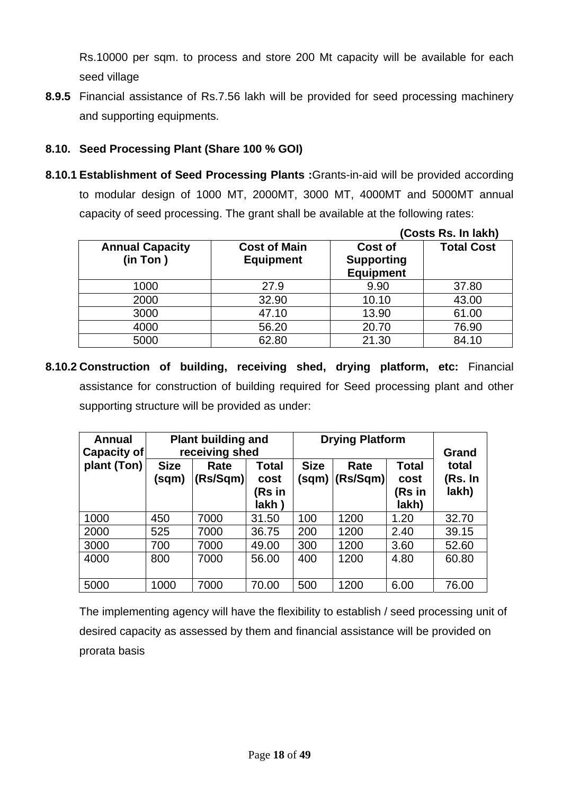Rs.10000 per sqm. to process and store 200 Mt capacity will be available for each seed village

**8.9.5** Financial assistance of Rs.7.56 lakh will be provided for seed processing machinery and supporting equipments.

# **8.10. Seed Processing Plant (Share 100 % GOI)**

**8.10.1 Establishment of Seed Processing Plants :**Grants-in-aid will be provided according to modular design of 1000 MT, 2000MT, 3000 MT, 4000MT and 5000MT annual capacity of seed processing. The grant shall be available at the following rates:

|                                    |                                         |                                                  | (Costs Rs. In lakh) |
|------------------------------------|-----------------------------------------|--------------------------------------------------|---------------------|
| <b>Annual Capacity</b><br>(in Ton) | <b>Cost of Main</b><br><b>Equipment</b> | Cost of<br><b>Supporting</b><br><b>Equipment</b> | <b>Total Cost</b>   |
| 1000                               | 27.9                                    | 9.90                                             | 37.80               |
| 2000                               | 32.90                                   | 10.10                                            | 43.00               |
| 3000                               | 47.10                                   | 13.90                                            | 61.00               |
| 4000                               | 56.20                                   | 20.70                                            | 76.90               |
| 5000                               | 62.80                                   | 21.30                                            | 84.10               |

**8.10.2 Construction of building, receiving shed, drying platform, etc:** Financial assistance for construction of building required for Seed processing plant and other supporting structure will be provided as under:

| <b>Annual</b><br><b>Capacity of</b> | <b>Plant building and</b><br>receiving shed |                  |                                   | <b>Drying Platform</b> |                  |                                         | Grand                     |
|-------------------------------------|---------------------------------------------|------------------|-----------------------------------|------------------------|------------------|-----------------------------------------|---------------------------|
| plant (Ton)                         | <b>Size</b><br>(sqm)                        | Rate<br>(Rs/Sqm) | Total<br>cost<br>(Rs in<br>lakh ) | <b>Size</b><br>(sqm)   | Rate<br>(Rs/Sqm) | <b>Total</b><br>cost<br>(Rs in<br>lakh) | total<br>(Rs. In<br>lakh) |
| 1000                                | 450                                         | 7000             | 31.50                             | 100                    | 1200             | 1.20                                    | 32.70                     |
| 2000                                | 525                                         | 7000             | 36.75                             | 200                    | 1200             | 2.40                                    | 39.15                     |
| 3000                                | 700                                         | 7000             | 49.00                             | 300                    | 1200             | 3.60                                    | 52.60                     |
| 4000                                | 800                                         | 7000             | 56.00                             | 400                    | 1200             | 4.80                                    | 60.80                     |
| 5000                                | 1000                                        | 7000             | 70.00                             | 500                    | 1200             | 6.00                                    | 76.00                     |

The implementing agency will have the flexibility to establish / seed processing unit of desired capacity as assessed by them and financial assistance will be provided on prorata basis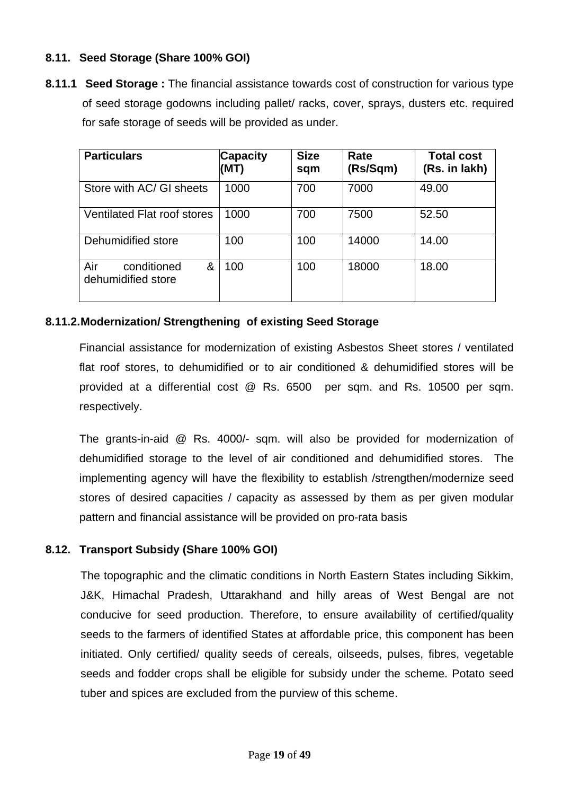# **8.11. Seed Storage (Share 100% GOI)**

**8.11.1 Seed Storage :** The financial assistance towards cost of construction for various type of seed storage godowns including pallet/ racks, cover, sprays, dusters etc. required for safe storage of seeds will be provided as under.

| <b>Particulars</b>                            | <b>Capacity</b><br>(MT) | <b>Size</b><br>sqm | Rate<br>(Rs/Sqm) | <b>Total cost</b><br>(Rs. in lakh) |
|-----------------------------------------------|-------------------------|--------------------|------------------|------------------------------------|
| Store with AC/ GI sheets                      | 1000                    | 700                | 7000             | 49.00                              |
| <b>Ventilated Flat roof stores</b>            | 1000                    | 700                | 7500             | 52.50                              |
| Dehumidified store                            | 100                     | 100                | 14000            | 14.00                              |
| Air<br>conditioned<br>&<br>dehumidified store | 100                     | 100                | 18000            | 18.00                              |

## **8.11.2. Modernization/ Strengthening of existing Seed Storage**

Financial assistance for modernization of existing Asbestos Sheet stores / ventilated flat roof stores, to dehumidified or to air conditioned & dehumidified stores will be provided at a differential cost @ Rs. 6500 per sqm. and Rs. 10500 per sqm. respectively.

The grants-in-aid @ Rs. 4000/- sqm. will also be provided for modernization of dehumidified storage to the level of air conditioned and dehumidified stores. The implementing agency will have the flexibility to establish /strengthen/modernize seed stores of desired capacities / capacity as assessed by them as per given modular pattern and financial assistance will be provided on pro-rata basis

## **8.12. Transport Subsidy (Share 100% GOI)**

The topographic and the climatic conditions in North Eastern States including Sikkim, J&K, Himachal Pradesh, Uttarakhand and hilly areas of West Bengal are not conducive for seed production. Therefore, to ensure availability of certified/quality seeds to the farmers of identified States at affordable price, this component has been initiated. Only certified/ quality seeds of cereals, oilseeds, pulses, fibres, vegetable seeds and fodder crops shall be eligible for subsidy under the scheme. Potato seed tuber and spices are excluded from the purview of this scheme.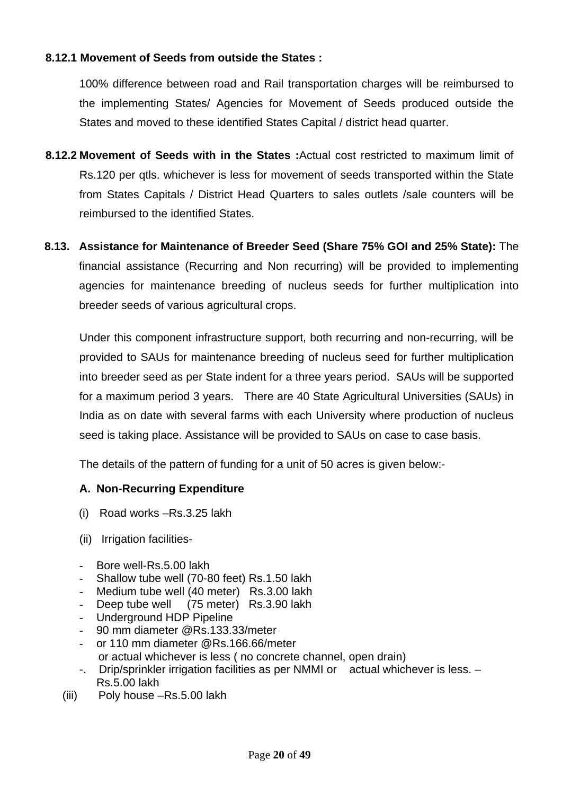# **8.12.1 Movement of Seeds from outside the States :**

100% difference between road and Rail transportation charges will be reimbursed to the implementing States/ Agencies for Movement of Seeds produced outside the States and moved to these identified States Capital / district head quarter.

- **8.12.2 Movement of Seeds with in the States :**Actual cost restricted to maximum limit of Rs.120 per qtls. whichever is less for movement of seeds transported within the State from States Capitals / District Head Quarters to sales outlets /sale counters will be reimbursed to the identified States.
- **8.13. Assistance for Maintenance of Breeder Seed (Share 75% GOI and 25% State):** The financial assistance (Recurring and Non recurring) will be provided to implementing agencies for maintenance breeding of nucleus seeds for further multiplication into breeder seeds of various agricultural crops.

Under this component infrastructure support, both recurring and non-recurring, will be provided to SAUs for maintenance breeding of nucleus seed for further multiplication into breeder seed as per State indent for a three years period. SAUs will be supported for a maximum period 3 years. There are 40 State Agricultural Universities (SAUs) in India as on date with several farms with each University where production of nucleus seed is taking place. Assistance will be provided to SAUs on case to case basis.

The details of the pattern of funding for a unit of 50 acres is given below:-

## **A. Non-Recurring Expenditure**

- (i) Road works –Rs.3.25 lakh
- (ii) Irrigation facilities-
- Bore well-Rs.5.00 lakh
- Shallow tube well (70-80 feet) Rs.1.50 lakh
- Medium tube well (40 meter) Rs.3.00 lakh
- Deep tube well (75 meter) Rs.3.90 lakh
- Underground HDP Pipeline
- 90 mm diameter @Rs.133.33/meter
- or 110 mm diameter @Rs.166.66/meter or actual whichever is less ( no concrete channel, open drain)
- -. Drip/sprinkler irrigation facilities as per NMMI or actual whichever is less. Rs.5.00 lakh
- (iii) Poly house –Rs.5.00 lakh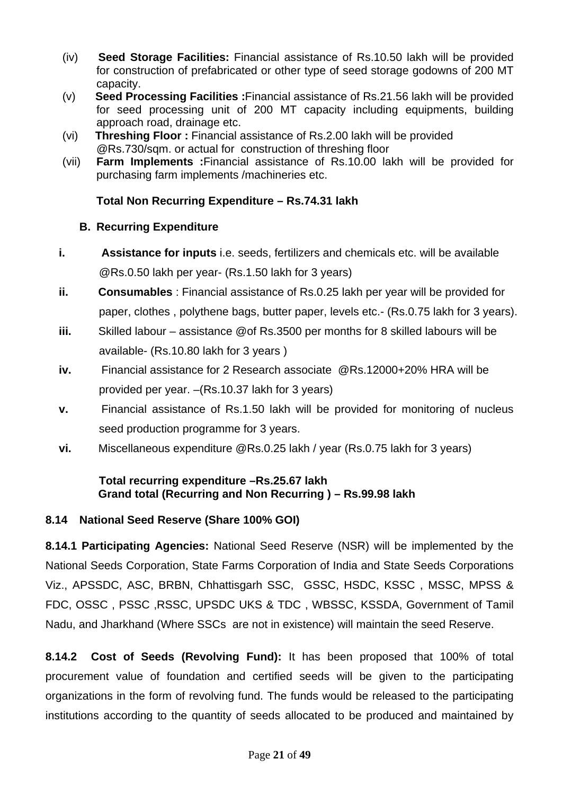- (iv) **Seed Storage Facilities:** Financial assistance of Rs.10.50 lakh will be provided for construction of prefabricated or other type of seed storage godowns of 200 MT capacity.
- (v) **Seed Processing Facilities :**Financial assistance of Rs.21.56 lakh will be provided for seed processing unit of 200 MT capacity including equipments, building approach road, drainage etc.
- (vi) **Threshing Floor :** Financial assistance of Rs.2.00 lakh will be provided @Rs.730/sqm. or actual for construction of threshing floor
- (vii) **Farm Implements :**Financial assistance of Rs.10.00 lakh will be provided for purchasing farm implements /machineries etc.

# **Total Non Recurring Expenditure – Rs.74.31 lakh**

# **B. Recurring Expenditure**

- **i. Assistance for inputs** i.e. seeds, fertilizers and chemicals etc. will be available @Rs.0.50 lakh per year- (Rs.1.50 lakh for 3 years)
- **ii. Consumables** : Financial assistance of Rs.0.25 lakh per year will be provided for paper, clothes , polythene bags, butter paper, levels etc.- (Rs.0.75 lakh for 3 years).
- **iii.** Skilled labour assistance @of Rs.3500 per months for 8 skilled labours will be available- (Rs.10.80 lakh for 3 years )
- **iv.** Financial assistance for 2 Research associate @Rs.12000+20% HRA will be provided per year. –(Rs.10.37 lakh for 3 years)
- **v.** Financial assistance of Rs.1.50 lakh will be provided for monitoring of nucleus seed production programme for 3 years.
- **vi.** Miscellaneous expenditure @Rs.0.25 lakh / year (Rs.0.75 lakh for 3 years)

# **Total recurring expenditure –Rs.25.67 lakh Grand total (Recurring and Non Recurring ) – Rs.99.98 lakh**

# **8.14 National Seed Reserve (Share 100% GOI)**

**8.14.1 Participating Agencies:** National Seed Reserve (NSR) will be implemented by the National Seeds Corporation, State Farms Corporation of India and State Seeds Corporations Viz., APSSDC, ASC, BRBN, Chhattisgarh SSC, GSSC, HSDC, KSSC , MSSC, MPSS & FDC, OSSC , PSSC ,RSSC, UPSDC UKS & TDC , WBSSC, KSSDA, Government of Tamil Nadu, and Jharkhand (Where SSCs are not in existence) will maintain the seed Reserve.

**8.14.2 Cost of Seeds (Revolving Fund):** It has been proposed that 100% of total procurement value of foundation and certified seeds will be given to the participating organizations in the form of revolving fund. The funds would be released to the participating institutions according to the quantity of seeds allocated to be produced and maintained by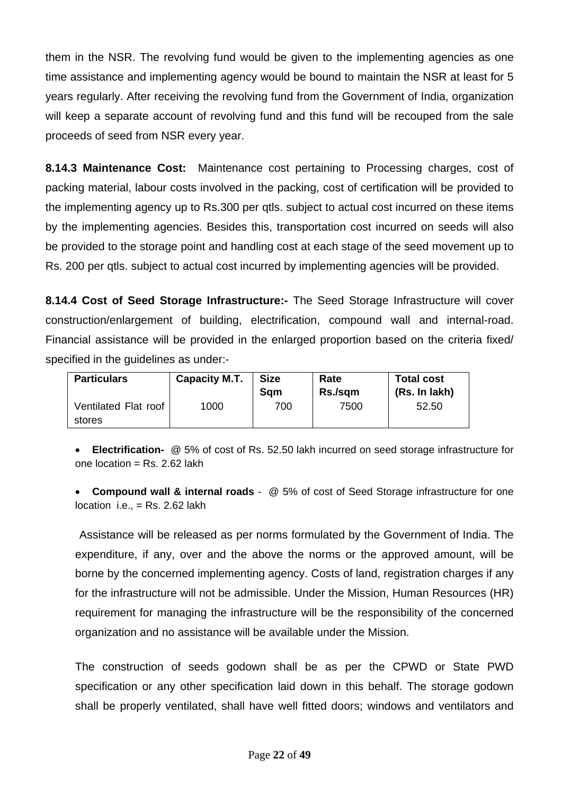them in the NSR. The revolving fund would be given to the implementing agencies as one time assistance and implementing agency would be bound to maintain the NSR at least for 5 years regularly. After receiving the revolving fund from the Government of India, organization will keep a separate account of revolving fund and this fund will be recouped from the sale proceeds of seed from NSR every year.

**8.14.3 Maintenance Cost:** Maintenance cost pertaining to Processing charges, cost of packing material, labour costs involved in the packing, cost of certification will be provided to the implementing agency up to Rs.300 per qtls. subject to actual cost incurred on these items by the implementing agencies. Besides this, transportation cost incurred on seeds will also be provided to the storage point and handling cost at each stage of the seed movement up to Rs. 200 per qtls. subject to actual cost incurred by implementing agencies will be provided.

**8.14.4 Cost of Seed Storage Infrastructure:-** The Seed Storage Infrastructure will cover construction/enlargement of building, electrification, compound wall and internal-road. Financial assistance will be provided in the enlarged proportion based on the criteria fixed/ specified in the guidelines as under:-

| <b>Particulars</b>             | <b>Capacity M.T.</b> | <b>Size</b><br>Sam | Rate<br>Rs./sqm | <b>Total cost</b><br>(Rs. In lakh) |
|--------------------------------|----------------------|--------------------|-----------------|------------------------------------|
| Ventilated Flat roof<br>stores | 1000                 | 700                | 7500            | 52.50                              |

• **Electrification-** @ 5% of cost of Rs. 52.50 lakh incurred on seed storage infrastructure for one location =  $Rs. 2.62$  lakh

• **Compound wall & internal roads** - @ 5% of cost of Seed Storage infrastructure for one location i.e.,  $=$  Rs. 2.62 lakh

Assistance will be released as per norms formulated by the Government of India. The expenditure, if any, over and the above the norms or the approved amount, will be borne by the concerned implementing agency. Costs of land, registration charges if any for the infrastructure will not be admissible. Under the Mission, Human Resources (HR) requirement for managing the infrastructure will be the responsibility of the concerned organization and no assistance will be available under the Mission.

The construction of seeds godown shall be as per the CPWD or State PWD specification or any other specification laid down in this behalf. The storage godown shall be properly ventilated, shall have well fitted doors; windows and ventilators and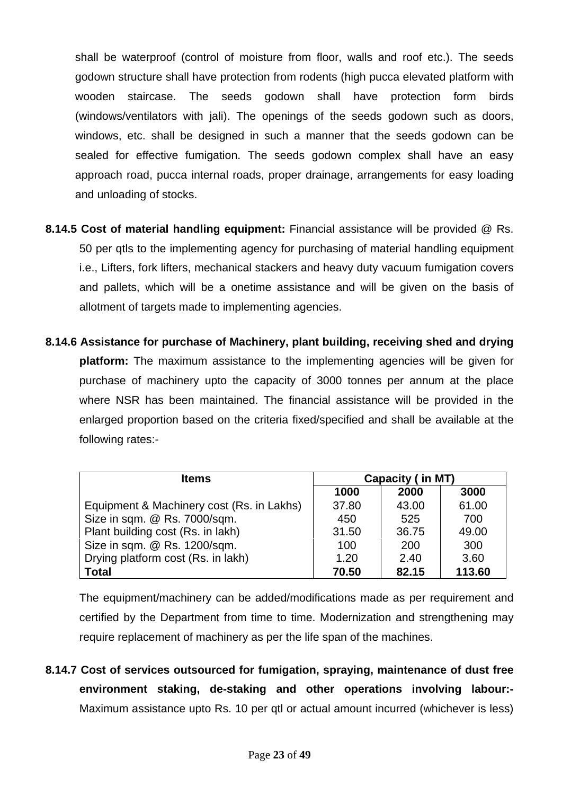shall be waterproof (control of moisture from floor, walls and roof etc.). The seeds godown structure shall have protection from rodents (high pucca elevated platform with wooden staircase. The seeds godown shall have protection form birds (windows/ventilators with jali). The openings of the seeds godown such as doors, windows, etc. shall be designed in such a manner that the seeds godown can be sealed for effective fumigation. The seeds godown complex shall have an easy approach road, pucca internal roads, proper drainage, arrangements for easy loading and unloading of stocks.

- **8.14.5 Cost of material handling equipment:** Financial assistance will be provided @ Rs. 50 per qtls to the implementing agency for purchasing of material handling equipment i.e., Lifters, fork lifters, mechanical stackers and heavy duty vacuum fumigation covers and pallets, which will be a onetime assistance and will be given on the basis of allotment of targets made to implementing agencies.
- **8.14.6 Assistance for purchase of Machinery, plant building, receiving shed and drying platform:** The maximum assistance to the implementing agencies will be given for purchase of machinery upto the capacity of 3000 tonnes per annum at the place where NSR has been maintained. The financial assistance will be provided in the enlarged proportion based on the criteria fixed/specified and shall be available at the following rates:-

| <b>Items</b>                              | <b>Capacity (in MT)</b> |       |        |  |
|-------------------------------------------|-------------------------|-------|--------|--|
|                                           | 1000                    | 2000  | 3000   |  |
| Equipment & Machinery cost (Rs. in Lakhs) | 37.80                   | 43.00 | 61.00  |  |
| Size in sqm. @ Rs. 7000/sqm.              | 450                     | 525   | 700    |  |
| Plant building cost (Rs. in lakh)         | 31.50                   | 36.75 | 49.00  |  |
| Size in sqm. @ Rs. 1200/sqm.              | 100                     | 200   | 300    |  |
| Drying platform cost (Rs. in lakh)        | 1.20                    | 2.40  | 3.60   |  |
| <b>Total</b>                              | 70.50                   | 82.15 | 113.60 |  |

The equipment/machinery can be added/modifications made as per requirement and certified by the Department from time to time. Modernization and strengthening may require replacement of machinery as per the life span of the machines.

**8.14.7 Cost of services outsourced for fumigation, spraying, maintenance of dust free environment staking, de-staking and other operations involving labour:-** Maximum assistance upto Rs. 10 per qtl or actual amount incurred (whichever is less)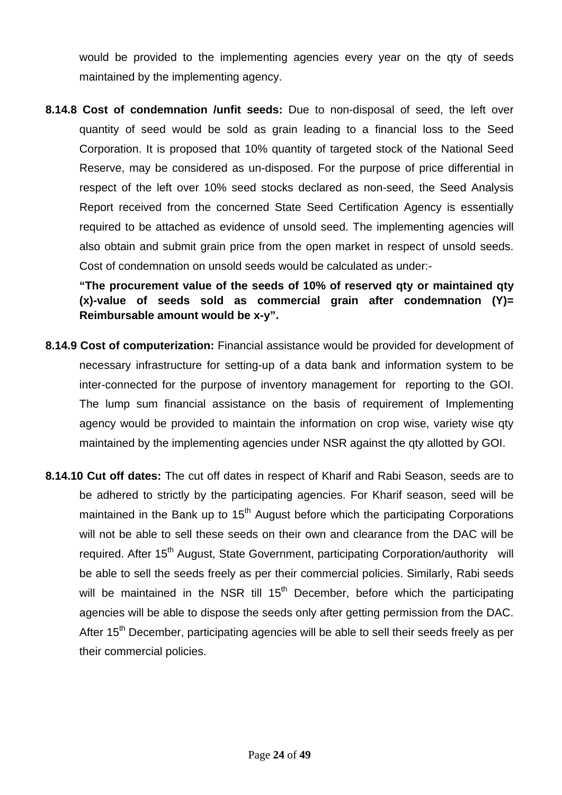would be provided to the implementing agencies every year on the qty of seeds maintained by the implementing agency.

**8.14.8 Cost of condemnation /unfit seeds:** Due to non-disposal of seed, the left over quantity of seed would be sold as grain leading to a financial loss to the Seed Corporation. It is proposed that 10% quantity of targeted stock of the National Seed Reserve, may be considered as un-disposed. For the purpose of price differential in respect of the left over 10% seed stocks declared as non-seed, the Seed Analysis Report received from the concerned State Seed Certification Agency is essentially required to be attached as evidence of unsold seed. The implementing agencies will also obtain and submit grain price from the open market in respect of unsold seeds. Cost of condemnation on unsold seeds would be calculated as under:-

**"The procurement value of the seeds of 10% of reserved qty or maintained qty (x)-value of seeds sold as commercial grain after condemnation (Y)= Reimbursable amount would be x-y".** 

- **8.14.9 Cost of computerization:** Financial assistance would be provided for development of necessary infrastructure for setting-up of a data bank and information system to be inter-connected for the purpose of inventory management for reporting to the GOI. The lump sum financial assistance on the basis of requirement of Implementing agency would be provided to maintain the information on crop wise, variety wise qty maintained by the implementing agencies under NSR against the qty allotted by GOI.
- **8.14.10 Cut off dates:** The cut off dates in respect of Kharif and Rabi Season, seeds are to be adhered to strictly by the participating agencies. For Kharif season, seed will be maintained in the Bank up to  $15<sup>th</sup>$  August before which the participating Corporations will not be able to sell these seeds on their own and clearance from the DAC will be required. After 15<sup>th</sup> August, State Government, participating Corporation/authority will be able to sell the seeds freely as per their commercial policies. Similarly, Rabi seeds will be maintained in the NSR till  $15<sup>th</sup>$  December, before which the participating agencies will be able to dispose the seeds only after getting permission from the DAC. After 15<sup>th</sup> December, participating agencies will be able to sell their seeds freely as per their commercial policies.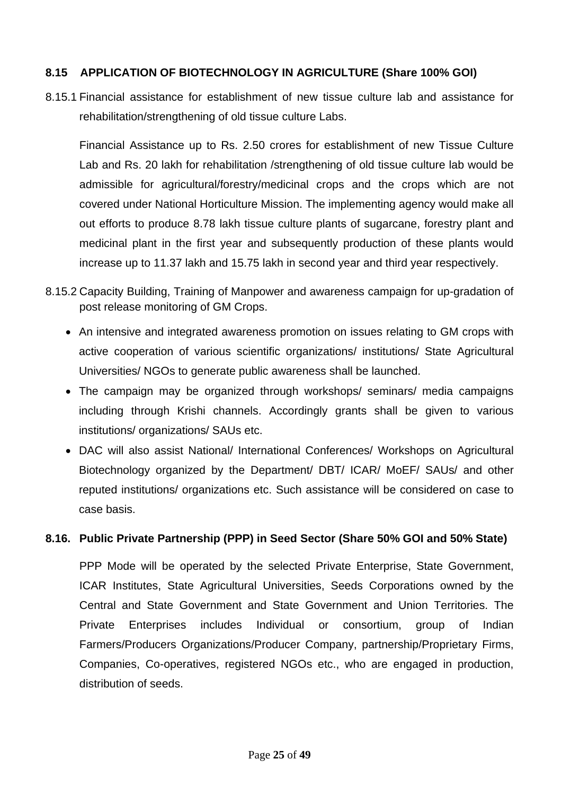## **8.15 APPLICATION OF BIOTECHNOLOGY IN AGRICULTURE (Share 100% GOI)**

8.15.1 Financial assistance for establishment of new tissue culture lab and assistance for rehabilitation/strengthening of old tissue culture Labs.

Financial Assistance up to Rs. 2.50 crores for establishment of new Tissue Culture Lab and Rs. 20 lakh for rehabilitation /strengthening of old tissue culture lab would be admissible for agricultural/forestry/medicinal crops and the crops which are not covered under National Horticulture Mission. The implementing agency would make all out efforts to produce 8.78 lakh tissue culture plants of sugarcane, forestry plant and medicinal plant in the first year and subsequently production of these plants would increase up to 11.37 lakh and 15.75 lakh in second year and third year respectively.

- 8.15.2 Capacity Building, Training of Manpower and awareness campaign for up-gradation of post release monitoring of GM Crops.
	- An intensive and integrated awareness promotion on issues relating to GM crops with active cooperation of various scientific organizations/ institutions/ State Agricultural Universities/ NGOs to generate public awareness shall be launched.
	- The campaign may be organized through workshops/ seminars/ media campaigns including through Krishi channels. Accordingly grants shall be given to various institutions/ organizations/ SAUs etc.
	- DAC will also assist National/ International Conferences/ Workshops on Agricultural Biotechnology organized by the Department/ DBT/ ICAR/ MoEF/ SAUs/ and other reputed institutions/ organizations etc. Such assistance will be considered on case to case basis.

# **8.16. Public Private Partnership (PPP) in Seed Sector (Share 50% GOI and 50% State)**

PPP Mode will be operated by the selected Private Enterprise, State Government, ICAR Institutes, State Agricultural Universities, Seeds Corporations owned by the Central and State Government and State Government and Union Territories. The Private Enterprises includes Individual or consortium, group of Indian Farmers/Producers Organizations/Producer Company, partnership/Proprietary Firms, Companies, Co-operatives, registered NGOs etc., who are engaged in production, distribution of seeds.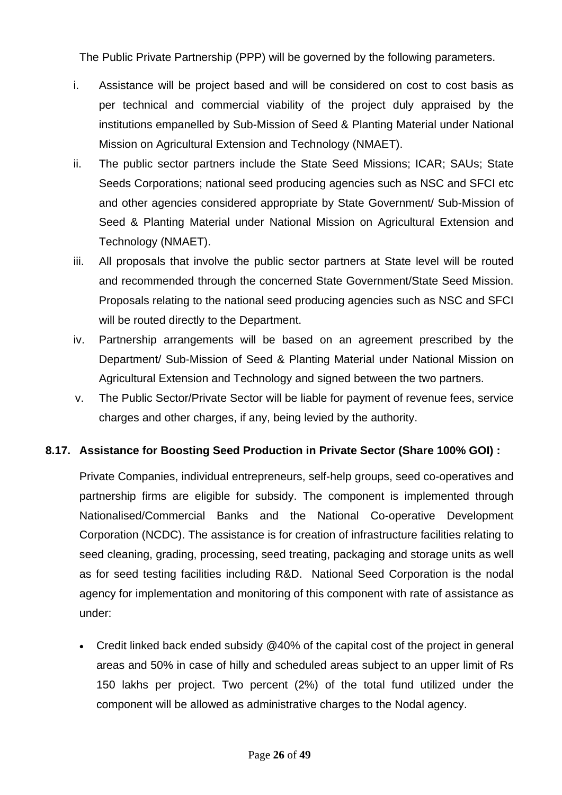The Public Private Partnership (PPP) will be governed by the following parameters.

- i. Assistance will be project based and will be considered on cost to cost basis as per technical and commercial viability of the project duly appraised by the institutions empanelled by Sub-Mission of Seed & Planting Material under National Mission on Agricultural Extension and Technology (NMAET).
- ii. The public sector partners include the State Seed Missions; ICAR; SAUs; State Seeds Corporations; national seed producing agencies such as NSC and SFCI etc and other agencies considered appropriate by State Government/ Sub-Mission of Seed & Planting Material under National Mission on Agricultural Extension and Technology (NMAET).
- iii. All proposals that involve the public sector partners at State level will be routed and recommended through the concerned State Government/State Seed Mission. Proposals relating to the national seed producing agencies such as NSC and SFCI will be routed directly to the Department.
- iv. Partnership arrangements will be based on an agreement prescribed by the Department/ Sub-Mission of Seed & Planting Material under National Mission on Agricultural Extension and Technology and signed between the two partners.
- v. The Public Sector/Private Sector will be liable for payment of revenue fees, service charges and other charges, if any, being levied by the authority.

# **8.17. Assistance for Boosting Seed Production in Private Sector (Share 100% GOI) :**

Private Companies, individual entrepreneurs, self-help groups, seed co-operatives and partnership firms are eligible for subsidy. The component is implemented through Nationalised/Commercial Banks and the National Co-operative Development Corporation (NCDC). The assistance is for creation of infrastructure facilities relating to seed cleaning, grading, processing, seed treating, packaging and storage units as well as for seed testing facilities including R&D. National Seed Corporation is the nodal agency for implementation and monitoring of this component with rate of assistance as under:

• Credit linked back ended subsidy @40% of the capital cost of the project in general areas and 50% in case of hilly and scheduled areas subject to an upper limit of Rs 150 lakhs per project. Two percent (2%) of the total fund utilized under the component will be allowed as administrative charges to the Nodal agency.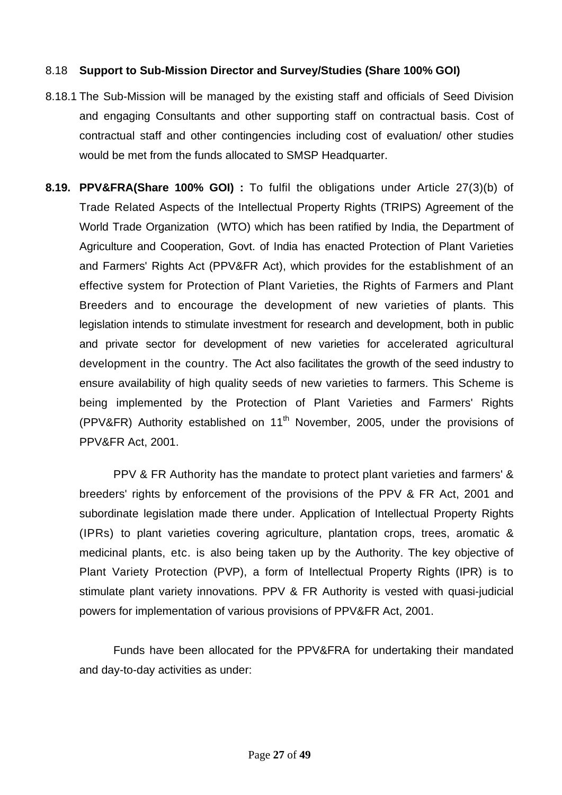## 8.18 **Support to Sub-Mission Director and Survey/Studies (Share 100% GOI)**

- 8.18.1 The Sub-Mission will be managed by the existing staff and officials of Seed Division and engaging Consultants and other supporting staff on contractual basis. Cost of contractual staff and other contingencies including cost of evaluation/ other studies would be met from the funds allocated to SMSP Headquarter.
- **8.19. PPV&FRA(Share 100% GOI) :** To fulfil the obligations under Article 27(3)(b) of Trade Related Aspects of the Intellectual Property Rights (TRIPS) Agreement of the World Trade Organization (WTO) which has been ratified by India, the Department of Agriculture and Cooperation, Govt. of India has enacted Protection of Plant Varieties and Farmers' Rights Act (PPV&FR Act), which provides for the establishment of an effective system for Protection of Plant Varieties, the Rights of Farmers and Plant Breeders and to encourage the development of new varieties of plants. This legislation intends to stimulate investment for research and development, both in public and private sector for development of new varieties for accelerated agricultural development in the country. The Act also facilitates the growth of the seed industry to ensure availability of high quality seeds of new varieties to farmers. This Scheme is being implemented by the Protection of Plant Varieties and Farmers' Rights (PPV&FR) Authority established on  $11<sup>th</sup>$  November, 2005, under the provisions of PPV&FR Act, 2001.

PPV & FR Authority has the mandate to protect plant varieties and farmers' & breeders' rights by enforcement of the provisions of the PPV & FR Act, 2001 and subordinate legislation made there under. Application of Intellectual Property Rights (IPRs) to plant varieties covering agriculture, plantation crops, trees, aromatic & medicinal plants, etc. is also being taken up by the Authority. The key objective of Plant Variety Protection (PVP), a form of Intellectual Property Rights (IPR) is to stimulate plant variety innovations. PPV & FR Authority is vested with quasi-judicial powers for implementation of various provisions of PPV&FR Act, 2001.

Funds have been allocated for the PPV&FRA for undertaking their mandated and day-to-day activities as under: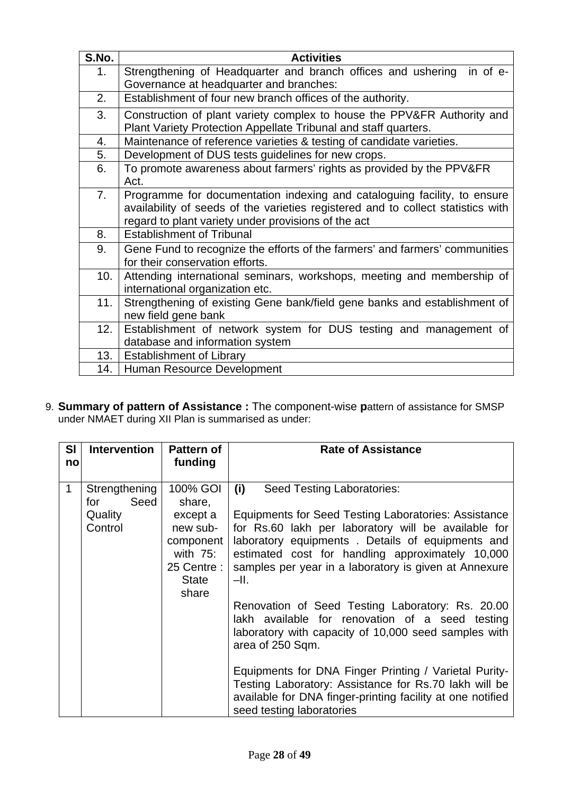| S.No.          | <b>Activities</b>                                                                |
|----------------|----------------------------------------------------------------------------------|
| 1 <sub>1</sub> | Strengthening of Headquarter and branch offices and ushering<br>in of e-         |
|                | Governance at headquarter and branches:                                          |
| 2.             | Establishment of four new branch offices of the authority.                       |
| 3.             | Construction of plant variety complex to house the PPV&FR Authority and          |
|                | Plant Variety Protection Appellate Tribunal and staff quarters.                  |
| 4.             | Maintenance of reference varieties & testing of candidate varieties.             |
| 5.             | Development of DUS tests guidelines for new crops.                               |
| 6.             | To promote awareness about farmers' rights as provided by the PPV&FR             |
|                | Act.                                                                             |
| 7 <sub>1</sub> | Programme for documentation indexing and cataloguing facility, to ensure         |
|                | availability of seeds of the varieties registered and to collect statistics with |
|                | regard to plant variety under provisions of the act                              |
| 8.             | <b>Establishment of Tribunal</b>                                                 |
| 9.             | Gene Fund to recognize the efforts of the farmers' and farmers' communities      |
|                | for their conservation efforts.                                                  |
| 10.            | Attending international seminars, workshops, meeting and membership of           |
|                | international organization etc.                                                  |
| 11.            | Strengthening of existing Gene bank/field gene banks and establishment of        |
|                | new field gene bank                                                              |
| 12.1           | Establishment of network system for DUS testing and management of                |
|                | database and information system                                                  |
| 13.            | <b>Establishment of Library</b>                                                  |
| 14.            | Human Resource Development                                                       |

9. **Summary of pattern of Assistance :** The component-wise **p**attern of assistance for SMSP under NMAET during XII Plan is summarised as under:

| <b>SI</b><br>no | <b>Intervention</b>                                | <b>Pattern of</b><br>funding                                                                            | <b>Rate of Assistance</b>                                                                                                                                                                                                                                                                                                                                                                                                                                                                                                                                                                                                                                                                                                 |
|-----------------|----------------------------------------------------|---------------------------------------------------------------------------------------------------------|---------------------------------------------------------------------------------------------------------------------------------------------------------------------------------------------------------------------------------------------------------------------------------------------------------------------------------------------------------------------------------------------------------------------------------------------------------------------------------------------------------------------------------------------------------------------------------------------------------------------------------------------------------------------------------------------------------------------------|
| $\mathbf{1}$    | Strengthening<br>Seed<br>for<br>Quality<br>Control | 100% GOI<br>share,<br>except a<br>new sub-<br>component<br>with $75$ :<br>25 Centre :<br>State<br>share | (i)<br>Seed Testing Laboratories:<br>Equipments for Seed Testing Laboratories: Assistance<br>for Rs.60 lakh per laboratory will be available for<br>laboratory equipments. Details of equipments and<br>estimated cost for handling approximately 10,000<br>samples per year in a laboratory is given at Annexure<br>-II.<br>Renovation of Seed Testing Laboratory: Rs. 20.00<br>lakh available for renovation of a seed testing<br>laboratory with capacity of 10,000 seed samples with<br>area of 250 Sqm.<br>Equipments for DNA Finger Printing / Varietal Purity-<br>Testing Laboratory: Assistance for Rs.70 lakh will be<br>available for DNA finger-printing facility at one notified<br>seed testing laboratories |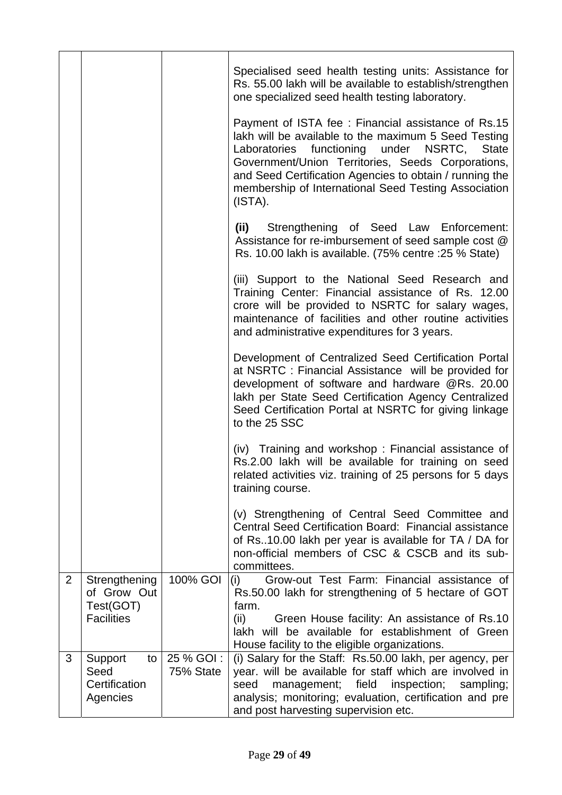|                |                                                                |                        | Specialised seed health testing units: Assistance for<br>Rs. 55.00 lakh will be available to establish/strengthen<br>one specialized seed health testing laboratory.<br>Payment of ISTA fee : Financial assistance of Rs.15<br>lakh will be available to the maximum 5 Seed Testing<br>Laboratories functioning under NSRTC, State<br>Government/Union Territories, Seeds Corporations,<br>and Seed Certification Agencies to obtain / running the<br>membership of International Seed Testing Association<br>(ISTA).<br>(ii) Strengthening of Seed Law Enforcement:<br>Assistance for re-imbursement of seed sample cost @<br>Rs. 10.00 lakh is available. (75% centre : 25 % State)<br>(iii) Support to the National Seed Research and<br>Training Center: Financial assistance of Rs. 12.00<br>crore will be provided to NSRTC for salary wages,<br>maintenance of facilities and other routine activities<br>and administrative expenditures for 3 years.<br>Development of Centralized Seed Certification Portal<br>at NSRTC : Financial Assistance will be provided for<br>development of software and hardware @Rs. 20.00<br>lakh per State Seed Certification Agency Centralized<br>Seed Certification Portal at NSRTC for giving linkage<br>to the 25 SSC |
|----------------|----------------------------------------------------------------|------------------------|--------------------------------------------------------------------------------------------------------------------------------------------------------------------------------------------------------------------------------------------------------------------------------------------------------------------------------------------------------------------------------------------------------------------------------------------------------------------------------------------------------------------------------------------------------------------------------------------------------------------------------------------------------------------------------------------------------------------------------------------------------------------------------------------------------------------------------------------------------------------------------------------------------------------------------------------------------------------------------------------------------------------------------------------------------------------------------------------------------------------------------------------------------------------------------------------------------------------------------------------------------------------|
|                |                                                                |                        | (iv) Training and workshop: Financial assistance of<br>Rs.2.00 lakh will be available for training on seed<br>related activities viz. training of 25 persons for 5 days<br>training course.                                                                                                                                                                                                                                                                                                                                                                                                                                                                                                                                                                                                                                                                                                                                                                                                                                                                                                                                                                                                                                                                        |
|                |                                                                |                        | (v) Strengthening of Central Seed Committee and<br>Central Seed Certification Board: Financial assistance<br>of Rs. 10.00 lakh per year is available for TA / DA for<br>non-official members of CSC & CSCB and its sub-<br>committees.                                                                                                                                                                                                                                                                                                                                                                                                                                                                                                                                                                                                                                                                                                                                                                                                                                                                                                                                                                                                                             |
| $\overline{2}$ | Strengthening<br>of Grow Out<br>Test(GOT)<br><b>Facilities</b> | 100% GOI               | Grow-out Test Farm: Financial assistance of<br>(i)<br>Rs.50.00 lakh for strengthening of 5 hectare of GOT<br>farm.<br>(ii)<br>Green House facility: An assistance of Rs.10<br>lakh will be available for establishment of Green<br>House facility to the eligible organizations.                                                                                                                                                                                                                                                                                                                                                                                                                                                                                                                                                                                                                                                                                                                                                                                                                                                                                                                                                                                   |
| 3              | Support<br>to<br>Seed<br>Certification<br>Agencies             | 25 % GOI:<br>75% State | (i) Salary for the Staff: Rs.50.00 lakh, per agency, per<br>year. will be available for staff which are involved in<br>seed<br>management; field inspection;<br>sampling;<br>analysis; monitoring; evaluation, certification and pre<br>and post harvesting supervision etc.                                                                                                                                                                                                                                                                                                                                                                                                                                                                                                                                                                                                                                                                                                                                                                                                                                                                                                                                                                                       |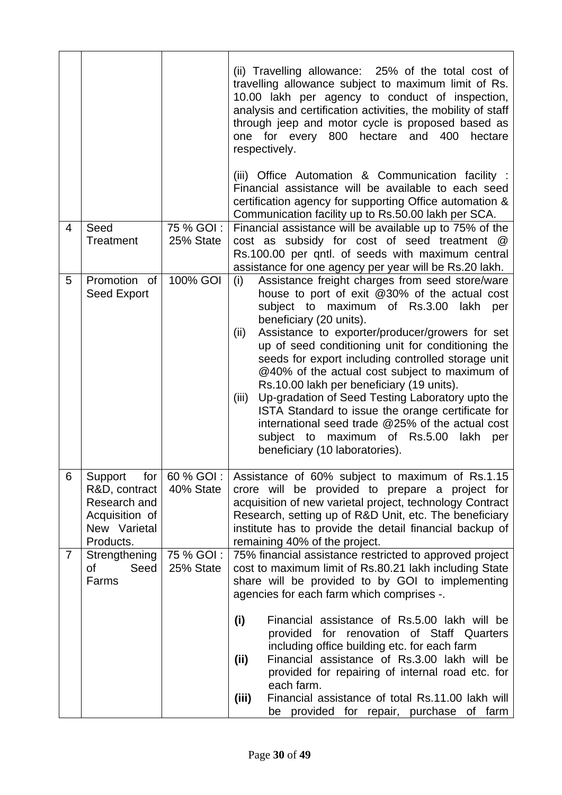|                |                                                                                             |                           | (ii) Travelling allowance: 25% of the total cost of<br>travelling allowance subject to maximum limit of Rs.<br>10.00 lakh per agency to conduct of inspection,<br>analysis and certification activities, the mobility of staff<br>through jeep and motor cycle is proposed based as<br>one for every 800 hectare and 400<br>hectare<br>respectively.                                                                                                                                                                                                                                                                                                                                                        |
|----------------|---------------------------------------------------------------------------------------------|---------------------------|-------------------------------------------------------------------------------------------------------------------------------------------------------------------------------------------------------------------------------------------------------------------------------------------------------------------------------------------------------------------------------------------------------------------------------------------------------------------------------------------------------------------------------------------------------------------------------------------------------------------------------------------------------------------------------------------------------------|
|                |                                                                                             |                           | (iii) Office Automation & Communication facility :<br>Financial assistance will be available to each seed<br>certification agency for supporting Office automation &<br>Communication facility up to Rs.50.00 lakh per SCA.                                                                                                                                                                                                                                                                                                                                                                                                                                                                                 |
| $\overline{4}$ | Seed<br>Treatment                                                                           | 75 % GOI:<br>25% State    | Financial assistance will be available up to 75% of the<br>cost as subsidy for cost of seed treatment @<br>Rs.100.00 per qntl. of seeds with maximum central<br>assistance for one agency per year will be Rs.20 lakh.                                                                                                                                                                                                                                                                                                                                                                                                                                                                                      |
| 5              | Promotion of<br>Seed Export                                                                 | 100% GOI                  | Assistance freight charges from seed store/ware<br>(i)<br>house to port of exit @30% of the actual cost<br>subject to maximum of Rs.3.00<br>lakh per<br>beneficiary (20 units).<br>Assistance to exporter/producer/growers for set<br>(ii)<br>up of seed conditioning unit for conditioning the<br>seeds for export including controlled storage unit<br>@40% of the actual cost subject to maximum of<br>Rs.10.00 lakh per beneficiary (19 units).<br>Up-gradation of Seed Testing Laboratory upto the<br>(iii)<br>ISTA Standard to issue the orange certificate for<br>international seed trade @25% of the actual cost<br>subject to maximum of Rs.5.00<br>lakh<br>per<br>beneficiary (10 laboratories). |
| 6              | Support for<br>R&D, contract<br>Research and<br>Acquisition of<br>New Varietal<br>Products. | 60 % GOI :  <br>40% State | Assistance of 60% subject to maximum of Rs.1.15<br>crore will be provided to prepare a project for<br>acquisition of new varietal project, technology Contract<br>Research, setting up of R&D Unit, etc. The beneficiary<br>institute has to provide the detail financial backup of<br>remaining 40% of the project.                                                                                                                                                                                                                                                                                                                                                                                        |
| $\overline{7}$ | Strengthening<br>οf<br>Seed<br>Farms                                                        | 75 % GOI:<br>25% State    | 75% financial assistance restricted to approved project<br>cost to maximum limit of Rs.80.21 lakh including State<br>share will be provided to by GOI to implementing<br>agencies for each farm which comprises -.                                                                                                                                                                                                                                                                                                                                                                                                                                                                                          |
|                |                                                                                             |                           | Financial assistance of Rs.5.00 lakh will be<br>(i)<br>provided for renovation of Staff Quarters<br>including office building etc. for each farm<br>Financial assistance of Rs.3.00 lakh will be<br>(ii)<br>provided for repairing of internal road etc. for<br>each farm.<br>Financial assistance of total Rs.11.00 lakh will<br>(iii)<br>be provided for repair, purchase of farm                                                                                                                                                                                                                                                                                                                         |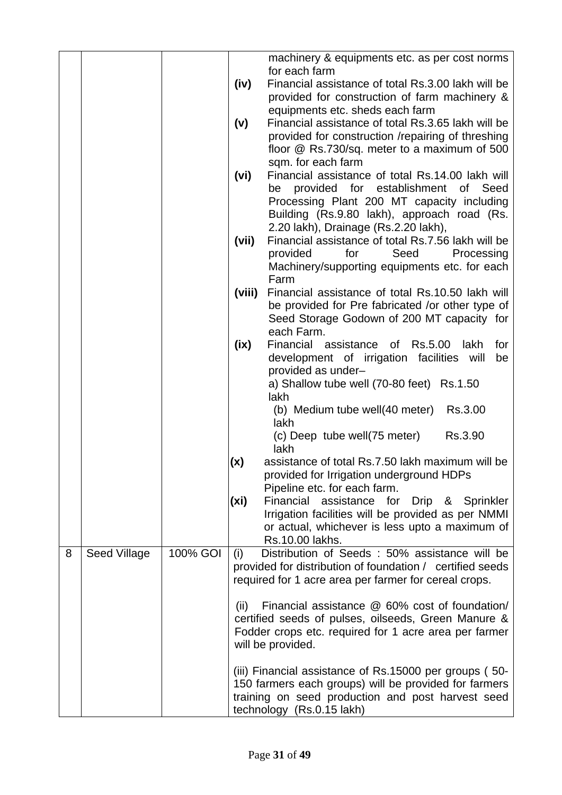|   |              |          |        | machinery & equipments etc. as per cost norms<br>for each farm                                             |
|---|--------------|----------|--------|------------------------------------------------------------------------------------------------------------|
|   |              |          | (iv)   | Financial assistance of total Rs.3.00 lakh will be<br>provided for construction of farm machinery &        |
|   |              |          |        | equipments etc. sheds each farm                                                                            |
|   |              |          | (v)    | Financial assistance of total Rs.3.65 lakh will be                                                         |
|   |              |          |        | provided for construction /repairing of threshing                                                          |
|   |              |          |        | floor @ Rs.730/sq. meter to a maximum of 500<br>sqm. for each farm                                         |
|   |              |          | (vi)   | Financial assistance of total Rs.14.00 lakh will                                                           |
|   |              |          |        | provided for establishment<br>of Seed<br>be                                                                |
|   |              |          |        | Processing Plant 200 MT capacity including                                                                 |
|   |              |          |        | Building (Rs.9.80 lakh), approach road (Rs.                                                                |
|   |              |          | (vii)  | 2.20 lakh), Drainage (Rs.2.20 lakh),<br>Financial assistance of total Rs.7.56 lakh will be                 |
|   |              |          |        | provided<br>Processing<br>for<br>Seed                                                                      |
|   |              |          |        | Machinery/supporting equipments etc. for each                                                              |
|   |              |          | (viii) | Farm<br>Financial assistance of total Rs.10.50 lakh will                                                   |
|   |              |          |        | be provided for Pre fabricated /or other type of                                                           |
|   |              |          |        | Seed Storage Godown of 200 MT capacity for                                                                 |
|   |              |          |        | each Farm.                                                                                                 |
|   |              |          | (ix)   | Financial assistance of Rs.5.00<br>lakh<br>for<br>development of irrigation facilities will<br>be          |
|   |              |          |        | provided as under-                                                                                         |
|   |              |          |        | a) Shallow tube well (70-80 feet) Rs.1.50                                                                  |
|   |              |          |        | lakh<br>Rs.3.00                                                                                            |
|   |              |          |        | (b) Medium tube well(40 meter)<br>lakh                                                                     |
|   |              |          |        | Rs.3.90<br>(c) Deep tube well(75 meter)                                                                    |
|   |              |          |        | lakh                                                                                                       |
|   |              |          | (x)    | assistance of total Rs.7.50 lakh maximum will be<br>provided for Irrigation underground HDPs               |
|   |              |          |        | Pipeline etc. for each farm.                                                                               |
|   |              |          | (xi)   | Financial assistance for<br>Drip & Sprinkler                                                               |
|   |              |          |        | Irrigation facilities will be provided as per NMMI<br>or actual, whichever is less upto a maximum of       |
|   |              |          |        | Rs.10.00 lakhs.                                                                                            |
| 8 | Seed Village | 100% GOI | (i)    | Distribution of Seeds : 50% assistance will be                                                             |
|   |              |          |        | provided for distribution of foundation / certified seeds                                                  |
|   |              |          |        | required for 1 acre area per farmer for cereal crops.                                                      |
|   |              |          | (ii)   | Financial assistance @ 60% cost of foundation/                                                             |
|   |              |          |        | certified seeds of pulses, oilseeds, Green Manure &                                                        |
|   |              |          |        | Fodder crops etc. required for 1 acre area per farmer<br>will be provided.                                 |
|   |              |          |        |                                                                                                            |
|   |              |          |        | (iii) Financial assistance of Rs.15000 per groups (50-                                                     |
|   |              |          |        | 150 farmers each groups) will be provided for farmers<br>training on seed production and post harvest seed |
|   |              |          |        | technology (Rs.0.15 lakh)                                                                                  |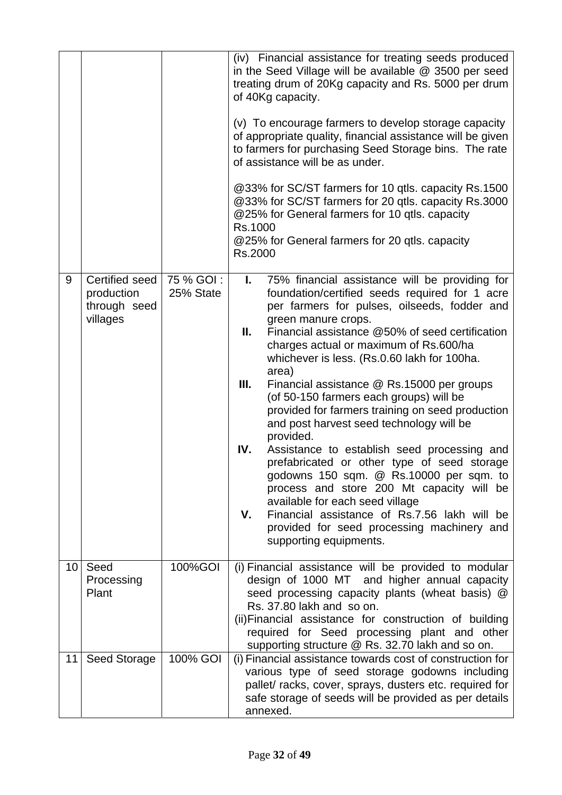|                 |                                                          |                        | (iv) Financial assistance for treating seeds produced<br>in the Seed Village will be available @ 3500 per seed<br>treating drum of 20Kg capacity and Rs. 5000 per drum<br>of 40Kg capacity.<br>(v) To encourage farmers to develop storage capacity<br>of appropriate quality, financial assistance will be given<br>to farmers for purchasing Seed Storage bins. The rate<br>of assistance will be as under.<br>@33% for SC/ST farmers for 10 qtls. capacity Rs.1500<br>@33% for SC/ST farmers for 20 qtls. capacity Rs.3000<br>@25% for General farmers for 10 qtls. capacity<br>Rs.1000<br>@25% for General farmers for 20 qtls. capacity<br>Rs.2000                                                                                                                                                                                                                                                              |
|-----------------|----------------------------------------------------------|------------------------|----------------------------------------------------------------------------------------------------------------------------------------------------------------------------------------------------------------------------------------------------------------------------------------------------------------------------------------------------------------------------------------------------------------------------------------------------------------------------------------------------------------------------------------------------------------------------------------------------------------------------------------------------------------------------------------------------------------------------------------------------------------------------------------------------------------------------------------------------------------------------------------------------------------------|
| 9               | Certified seed<br>production<br>through seed<br>villages | 75 % GOI:<br>25% State | 75% financial assistance will be providing for<br>L.<br>foundation/certified seeds required for 1 acre<br>per farmers for pulses, oilseeds, fodder and<br>green manure crops.<br>Ш.<br>Financial assistance @50% of seed certification<br>charges actual or maximum of Rs.600/ha<br>whichever is less. (Rs.0.60 lakh for 100ha.<br>area)<br>III.<br>Financial assistance @ Rs.15000 per groups<br>(of 50-150 farmers each groups) will be<br>provided for farmers training on seed production<br>and post harvest seed technology will be<br>provided.<br>IV.<br>Assistance to establish seed processing and<br>prefabricated or other type of seed storage<br>godowns 150 sqm. @ Rs.10000 per sqm. to<br>process and store 200 Mt capacity will be<br>available for each seed village<br>Financial assistance of Rs.7.56 lakh will be<br>۷.<br>provided for seed processing machinery and<br>supporting equipments. |
| 10 <sup>°</sup> | Seed<br>Processing<br>Plant                              | 100%GOI                | (i) Financial assistance will be provided to modular<br>design of 1000 MT and higher annual capacity<br>seed processing capacity plants (wheat basis) @<br>Rs. 37.80 lakh and so on.<br>(ii) Financial assistance for construction of building<br>required for Seed processing plant and other<br>supporting structure @ Rs. 32.70 lakh and so on.                                                                                                                                                                                                                                                                                                                                                                                                                                                                                                                                                                   |
| 11              | Seed Storage                                             | 100% GOI               | (i) Financial assistance towards cost of construction for<br>various type of seed storage godowns including<br>pallet/ racks, cover, sprays, dusters etc. required for<br>safe storage of seeds will be provided as per details<br>annexed.                                                                                                                                                                                                                                                                                                                                                                                                                                                                                                                                                                                                                                                                          |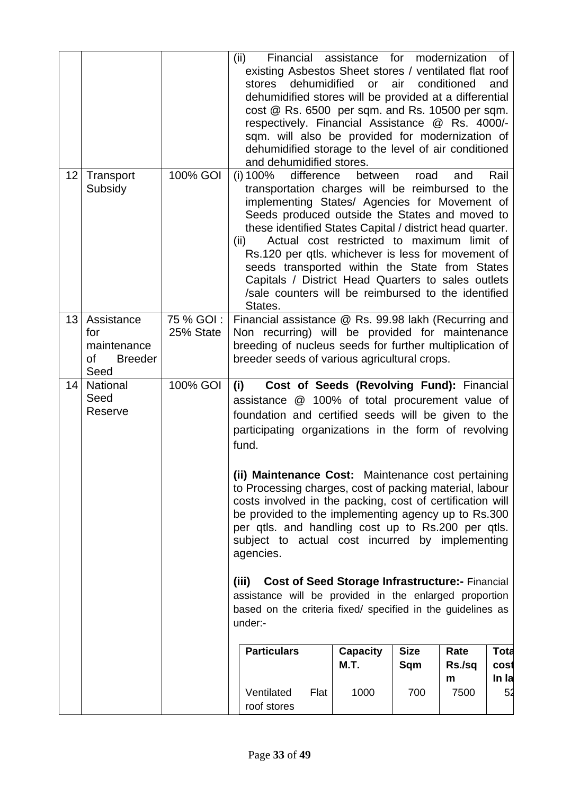|    |                                                                  |                         | Financial assistance for modernization of<br>(ii)<br>existing Asbestos Sheet stores / ventilated flat roof<br>dehumidified<br>stores<br>dehumidified stores will be provided at a differential<br>cost @ Rs. 6500 per sqm. and Rs. 10500 per sqm.<br>respectively. Financial Assistance @ Rs. 4000/-<br>sqm. will also be provided for modernization of<br>dehumidified storage to the level of air conditioned<br>and dehumidified stores.                                                                                     | <b>or</b>                      | air                | conditioned         | and                          |
|----|------------------------------------------------------------------|-------------------------|---------------------------------------------------------------------------------------------------------------------------------------------------------------------------------------------------------------------------------------------------------------------------------------------------------------------------------------------------------------------------------------------------------------------------------------------------------------------------------------------------------------------------------|--------------------------------|--------------------|---------------------|------------------------------|
| 12 | Transport<br>Subsidy                                             | 100% GOI                | (i) 100%<br>difference<br>transportation charges will be reimbursed to the<br>implementing States/ Agencies for Movement of<br>Seeds produced outside the States and moved to<br>these identified States Capital / district head quarter.<br>Actual cost restricted to maximum limit of<br>(ii)<br>Rs.120 per qtls. whichever is less for movement of<br>seeds transported within the State from States<br>Capitals / District Head Quarters to sales outlets<br>/sale counters will be reimbursed to the identified<br>States. | between                        | road               | and                 | Rail                         |
| 13 | Assistance<br>for<br>maintenance<br><b>Breeder</b><br>Οf<br>Seed | 75 % GOI :<br>25% State | Financial assistance @ Rs. 99.98 lakh (Recurring and<br>Non recurring) will be provided for maintenance<br>breeding of nucleus seeds for further multiplication of<br>breeder seeds of various agricultural crops.                                                                                                                                                                                                                                                                                                              |                                |                    |                     |                              |
| 14 | National<br>Seed<br>Reserve                                      | 100% GOI                | Cost of Seeds (Revolving Fund): Financial<br>(i)<br>assistance @ 100% of total procurement value of<br>foundation and certified seeds will be given to the<br>participating organizations in the form of revolving<br>fund.                                                                                                                                                                                                                                                                                                     |                                |                    |                     |                              |
|    |                                                                  |                         | (ii) Maintenance Cost: Maintenance cost pertaining<br>to Processing charges, cost of packing material, labour<br>costs involved in the packing, cost of certification will<br>be provided to the implementing agency up to Rs.300<br>per qtls. and handling cost up to Rs.200 per qtls.<br>subject to actual cost incurred by implementing<br>agencies.                                                                                                                                                                         |                                |                    |                     |                              |
|    |                                                                  |                         | <b>Cost of Seed Storage Infrastructure:- Financial</b><br>(iii)<br>assistance will be provided in the enlarged proportion<br>based on the criteria fixed/ specified in the guidelines as<br>under:-                                                                                                                                                                                                                                                                                                                             |                                |                    |                     |                              |
|    |                                                                  |                         | <b>Particulars</b>                                                                                                                                                                                                                                                                                                                                                                                                                                                                                                              | <b>Capacity</b><br><b>M.T.</b> | <b>Size</b><br>Sqm | Rate<br>Rs./sq<br>m | <b>Tota</b><br>cost<br>In la |
|    |                                                                  |                         | Ventilated<br>Flat<br>roof stores                                                                                                                                                                                                                                                                                                                                                                                                                                                                                               | 1000                           | 700                | 7500                | 52                           |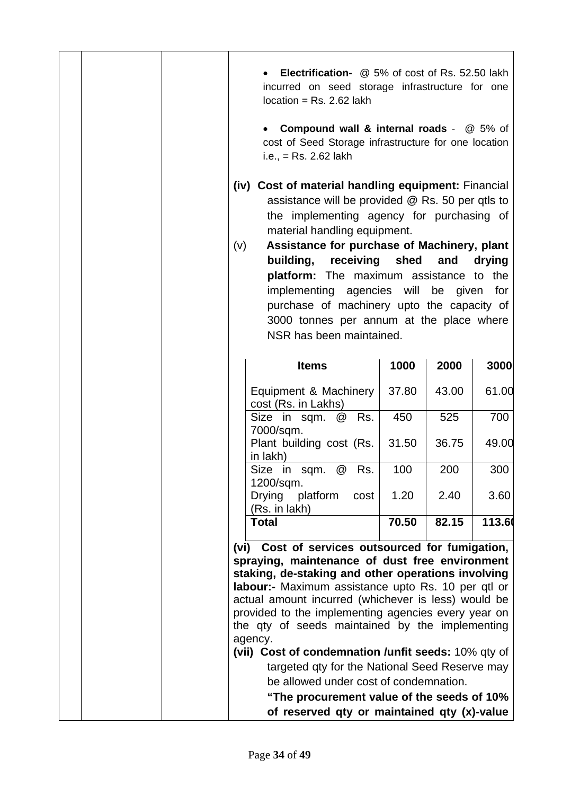|  | <b>Electrification-</b> @ 5% of cost of Rs. 52.50 lakh<br>incurred on seed storage infrastructure for one<br>$location = Rs. 2.62$ lakh                                                                                                                                                                                                |       |       |        |
|--|----------------------------------------------------------------------------------------------------------------------------------------------------------------------------------------------------------------------------------------------------------------------------------------------------------------------------------------|-------|-------|--------|
|  | <b>Compound wall &amp; internal roads - @ 5% of</b><br>cost of Seed Storage infrastructure for one location<br>i.e., $=$ Rs. 2.62 lakh                                                                                                                                                                                                 |       |       |        |
|  | (iv) Cost of material handling equipment: Financial<br>assistance will be provided @ Rs. 50 per qtls to<br>the implementing agency for purchasing of<br>material handling equipment.<br>Assistance for purchase of Machinery, plant<br>(v)<br>receiving shed<br>building,<br>platform: The maximum assistance to the                   |       | and   | drying |
|  | implementing agencies will be given                                                                                                                                                                                                                                                                                                    |       |       | for    |
|  | purchase of machinery upto the capacity of                                                                                                                                                                                                                                                                                             |       |       |        |
|  | 3000 tonnes per annum at the place where                                                                                                                                                                                                                                                                                               |       |       |        |
|  | NSR has been maintained.                                                                                                                                                                                                                                                                                                               |       |       |        |
|  |                                                                                                                                                                                                                                                                                                                                        |       |       |        |
|  | <b>Items</b>                                                                                                                                                                                                                                                                                                                           | 1000  | 2000  | 3000   |
|  | Equipment & Machinery<br>cost (Rs. in Lakhs)                                                                                                                                                                                                                                                                                           | 37.80 | 43.00 | 61.00  |
|  | Size in sqm. @<br>Rs.<br>7000/sqm.                                                                                                                                                                                                                                                                                                     | 450   | 525   | 700    |
|  | Plant building cost (Rs.<br>in lakh)                                                                                                                                                                                                                                                                                                   | 31.50 | 36.75 | 49.00  |
|  | Size in sqm. @ Rs.<br>1200/sqm.                                                                                                                                                                                                                                                                                                        | 100   | 200   | 300    |
|  | Drying<br>platform<br>cost<br>(Rs. in lakh)                                                                                                                                                                                                                                                                                            | 1.20  | 2.40  | 3.60   |
|  | <b>Total</b>                                                                                                                                                                                                                                                                                                                           | 70.50 | 82.15 | 113.60 |
|  | Cost of services outsourced for fumigation,<br>(vi)                                                                                                                                                                                                                                                                                    |       |       |        |
|  | spraying, maintenance of dust free environment<br>staking, de-staking and other operations involving<br>labour:- Maximum assistance upto Rs. 10 per qtl or<br>actual amount incurred (whichever is less) would be<br>provided to the implementing agencies every year on<br>the qty of seeds maintained by the implementing<br>agency. |       |       |        |
|  | (vii) Cost of condemnation /unfit seeds: 10% qty of<br>targeted qty for the National Seed Reserve may                                                                                                                                                                                                                                  |       |       |        |
|  | be allowed under cost of condemnation.                                                                                                                                                                                                                                                                                                 |       |       |        |
|  | "The procurement value of the seeds of 10%                                                                                                                                                                                                                                                                                             |       |       |        |
|  | of reserved qty or maintained qty (x)-value                                                                                                                                                                                                                                                                                            |       |       |        |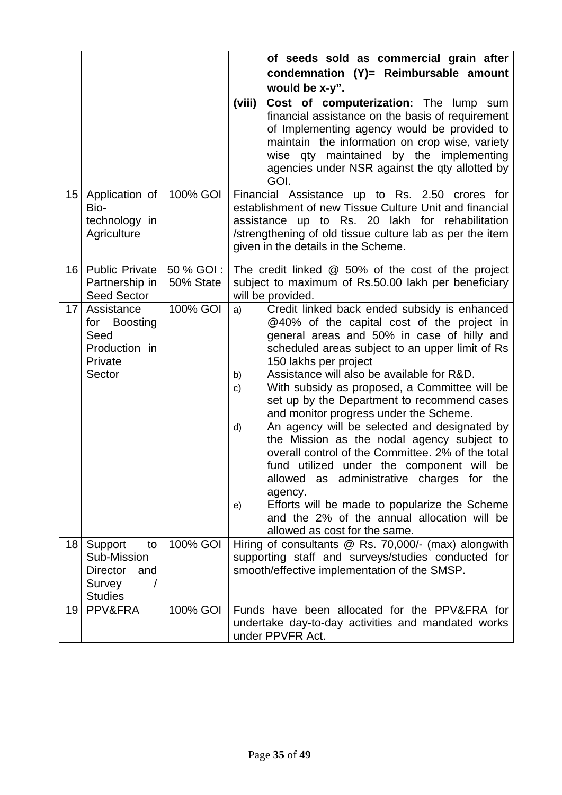|                 |                                                                                    |            | of seeds sold as commercial grain after                                                                                                                                                                                                                                                                                                                                                                                                                                                                                                                                                                                                                                                                                                                                                                                             |
|-----------------|------------------------------------------------------------------------------------|------------|-------------------------------------------------------------------------------------------------------------------------------------------------------------------------------------------------------------------------------------------------------------------------------------------------------------------------------------------------------------------------------------------------------------------------------------------------------------------------------------------------------------------------------------------------------------------------------------------------------------------------------------------------------------------------------------------------------------------------------------------------------------------------------------------------------------------------------------|
|                 |                                                                                    |            | condemnation (Y)= Reimbursable amount                                                                                                                                                                                                                                                                                                                                                                                                                                                                                                                                                                                                                                                                                                                                                                                               |
|                 |                                                                                    |            | would be x-y".                                                                                                                                                                                                                                                                                                                                                                                                                                                                                                                                                                                                                                                                                                                                                                                                                      |
|                 |                                                                                    |            | (viii)<br>Cost of computerization: The lump sum<br>financial assistance on the basis of requirement<br>of Implementing agency would be provided to<br>maintain the information on crop wise, variety<br>wise qty maintained by the implementing<br>agencies under NSR against the qty allotted by<br>GOI.                                                                                                                                                                                                                                                                                                                                                                                                                                                                                                                           |
| 15              | Application of                                                                     | 100% GOI   | Financial Assistance up to Rs. 2.50 crores for                                                                                                                                                                                                                                                                                                                                                                                                                                                                                                                                                                                                                                                                                                                                                                                      |
|                 | Bio-                                                                               |            | establishment of new Tissue Culture Unit and financial                                                                                                                                                                                                                                                                                                                                                                                                                                                                                                                                                                                                                                                                                                                                                                              |
|                 | technology in<br>Agriculture                                                       |            | assistance up to Rs. 20 lakh for rehabilitation<br>/strengthening of old tissue culture lab as per the item                                                                                                                                                                                                                                                                                                                                                                                                                                                                                                                                                                                                                                                                                                                         |
|                 |                                                                                    |            | given in the details in the Scheme.                                                                                                                                                                                                                                                                                                                                                                                                                                                                                                                                                                                                                                                                                                                                                                                                 |
| 16              | <b>Public Private</b>                                                              | 50 % GOI : | The credit linked @ 50% of the cost of the project                                                                                                                                                                                                                                                                                                                                                                                                                                                                                                                                                                                                                                                                                                                                                                                  |
|                 | Partnership in                                                                     | 50% State  | subject to maximum of Rs.50.00 lakh per beneficiary                                                                                                                                                                                                                                                                                                                                                                                                                                                                                                                                                                                                                                                                                                                                                                                 |
|                 | <b>Seed Sector</b>                                                                 |            | will be provided.                                                                                                                                                                                                                                                                                                                                                                                                                                                                                                                                                                                                                                                                                                                                                                                                                   |
| 17              | Assistance<br>for Boosting<br>Seed<br>Production in<br>Private<br>Sector           | 100% GOI   | Credit linked back ended subsidy is enhanced<br>a)<br>@40% of the capital cost of the project in<br>general areas and 50% in case of hilly and<br>scheduled areas subject to an upper limit of Rs<br>150 lakhs per project<br>Assistance will also be available for R&D.<br>b)<br>With subsidy as proposed, a Committee will be<br>c)<br>set up by the Department to recommend cases<br>and monitor progress under the Scheme.<br>An agency will be selected and designated by<br>d)<br>the Mission as the nodal agency subject to<br>overall control of the Committee, 2% of the total<br>fund utilized under the component will be<br>allowed as administrative charges for the<br>agency.<br>Efforts will be made to popularize the Scheme<br>e)<br>and the 2% of the annual allocation will be<br>allowed as cost for the same. |
| 18 <sup>1</sup> | Support<br>to<br>Sub-Mission<br><b>Director</b><br>and<br>Survey<br><b>Studies</b> | 100% GOI   | Hiring of consultants @ Rs. 70,000/- (max) alongwith<br>supporting staff and surveys/studies conducted for<br>smooth/effective implementation of the SMSP.                                                                                                                                                                                                                                                                                                                                                                                                                                                                                                                                                                                                                                                                          |
| 19              | PPV&FRA                                                                            | 100% GOI   | Funds have been allocated for the PPV&FRA for<br>undertake day-to-day activities and mandated works<br>under PPVFR Act.                                                                                                                                                                                                                                                                                                                                                                                                                                                                                                                                                                                                                                                                                                             |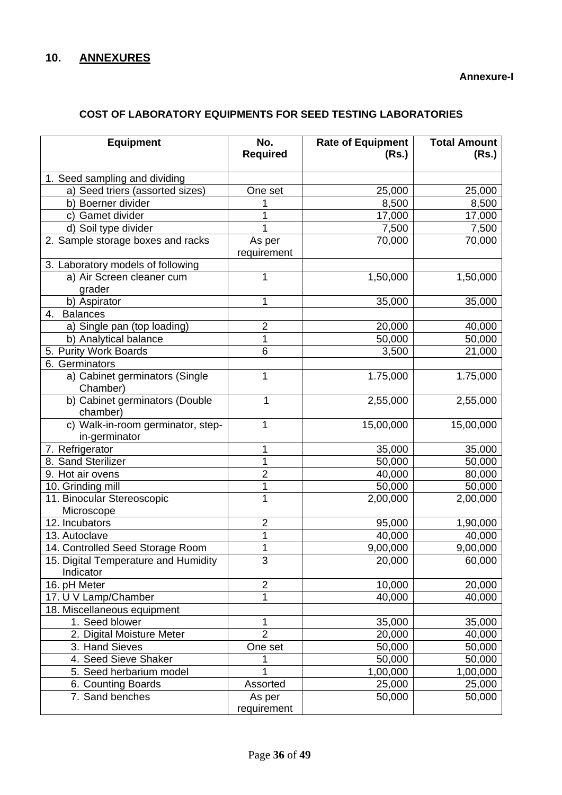#### **Annexure-I**

# **COST OF LABORATORY EQUIPMENTS FOR SEED TESTING LABORATORIES**

| <b>Equipment</b>                                   | No.<br><b>Required</b> | <b>Rate of Equipment</b><br>(Rs.) | <b>Total Amount</b><br>(Rs.) |
|----------------------------------------------------|------------------------|-----------------------------------|------------------------------|
| 1. Seed sampling and dividing                      |                        |                                   |                              |
| a) Seed triers (assorted sizes)                    | One set                | 25,000                            | 25,000                       |
| b) Boerner divider                                 | 1                      | 8,500                             | 8,500                        |
| c) Gamet divider                                   | 1                      | 17,000                            | 17,000                       |
| d) Soil type divider                               | 1                      | 7,500                             | 7,500                        |
| 2. Sample storage boxes and racks                  | As per<br>requirement  | 70,000                            | 70,000                       |
| 3. Laboratory models of following                  |                        |                                   |                              |
| a) Air Screen cleaner cum<br>grader                | 1                      | 1,50,000                          | 1,50,000                     |
| b) Aspirator                                       | 1                      | 35,000                            | 35,000                       |
| <b>Balances</b><br>4.                              |                        |                                   |                              |
| a) Single pan (top loading)                        | $\overline{c}$         | 20,000                            | 40,000                       |
| b) Analytical balance                              | 1                      | 50,000                            | 50,000                       |
| 5. Purity Work Boards                              | 6                      | 3,500                             | 21,000                       |
| 6. Germinators                                     |                        |                                   |                              |
| a) Cabinet germinators (Single<br>Chamber)         | 1                      | 1.75,000                          | 1.75,000                     |
| b) Cabinet germinators (Double<br>chamber)         | 1                      | 2,55,000                          | 2,55,000                     |
| c) Walk-in-room germinator, step-<br>in-germinator | 1                      | 15,00,000                         | 15,00,000                    |
| 7. Refrigerator                                    | 1                      | 35,000                            | 35,000                       |
| 8. Sand Sterilizer                                 | 1                      | 50,000                            | 50,000                       |
| 9. Hot air ovens                                   | $\overline{2}$         | 40,000                            | 80,000                       |
| 10. Grinding mill                                  | 1                      | 50,000                            | 50,000                       |
| 11. Binocular Stereoscopic<br>Microscope           | 1                      | 2,00,000                          | 2,00,000                     |
| 12. Incubators                                     | $\overline{2}$         | 95,000                            | 1,90,000                     |
| 13. Autoclave                                      | 1                      | 40,000                            | 40,000                       |
| 14. Controlled Seed Storage Room                   | 1                      | 9,00,000                          | 9,00,000                     |
| 15. Digital Temperature and Humidity<br>Indicator  | 3                      | 20,000                            | 60,000                       |
| 16. pH Meter                                       | $\overline{2}$         | 10,000                            | 20,000                       |
| 17. U V Lamp/Chamber                               | $\overline{1}$         | 40,000                            | 40,000                       |
| 18. Miscellaneous equipment                        |                        |                                   |                              |
| 1. Seed blower                                     | 1                      | 35,000                            | 35,000                       |
| 2. Digital Moisture Meter                          | $\overline{2}$         | 20,000                            | 40,000                       |
| 3. Hand Sieves                                     | One set                | 50,000                            | 50,000                       |
| 4. Seed Sieve Shaker                               | 1                      | 50,000                            | 50,000                       |
| 5. Seed herbarium model                            |                        | 1,00,000                          | 1,00,000                     |
| 6. Counting Boards                                 | Assorted               | 25,000                            | 25,000                       |
| 7. Sand benches                                    | As per<br>requirement  | 50,000                            | 50,000                       |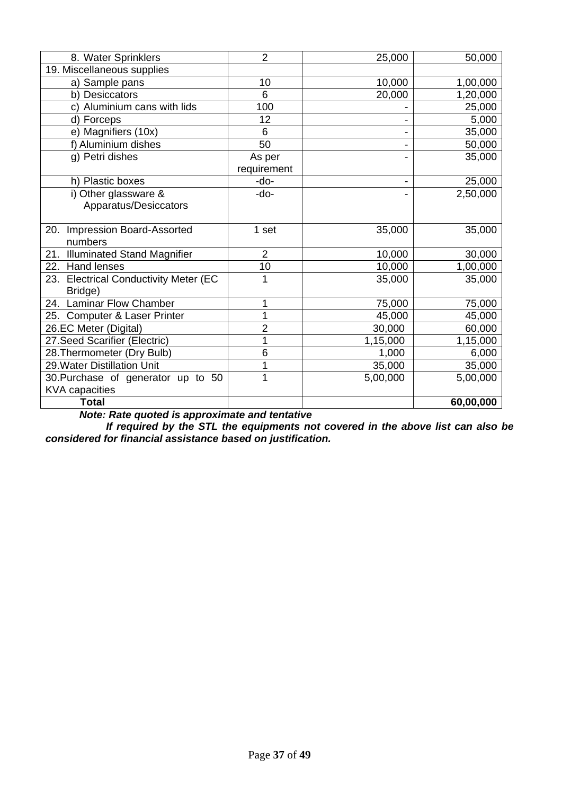| 8. Water Sprinklers                   | $\overline{2}$ | 25,000   | 50,000    |
|---------------------------------------|----------------|----------|-----------|
| 19. Miscellaneous supplies            |                |          |           |
| a) Sample pans                        | 10             | 10,000   | 1,00,000  |
| b) Desiccators                        | 6              | 20,000   | 1,20,000  |
| c) Aluminium cans with lids           | 100            |          | 25,000    |
| d) Forceps                            | 12             |          | 5,000     |
| e) Magnifiers (10x)                   | 6              |          | 35,000    |
| f) Aluminium dishes                   | 50             |          | 50,000    |
| g) Petri dishes                       | As per         |          | 35,000    |
|                                       | requirement    |          |           |
| h) Plastic boxes                      | -do-           |          | 25,000    |
| i) Other glassware &                  | -do-           |          | 2,50,000  |
| Apparatus/Desiccators                 |                |          |           |
|                                       |                |          |           |
| 20. Impression Board-Assorted         | 1 set          | 35,000   | 35,000    |
| numbers                               |                |          |           |
| 21. Illuminated Stand Magnifier       | $\overline{2}$ | 10,000   | 30,000    |
| 22. Hand lenses                       | 10             | 10,000   | 1,00,000  |
| 23. Electrical Conductivity Meter (EC | 1              | 35,000   | 35,000    |
| Bridge)                               |                |          |           |
| 24. Laminar Flow Chamber              | 1              | 75,000   | 75,000    |
| 25. Computer & Laser Printer          | 1              | 45,000   | 45,000    |
| 26.EC Meter (Digital)                 | $\overline{2}$ | 30,000   | 60,000    |
| 27. Seed Scarifier (Electric)         | 1              | 1,15,000 | 1,15,000  |
| 28. Thermometer (Dry Bulb)            | 6              | 1,000    | 6,000     |
| 29. Water Distillation Unit           | 1              | 35,000   | 35,000    |
| 30. Purchase of generator up to 50    | 1              | 5,00,000 | 5,00,000  |
| <b>KVA</b> capacities                 |                |          |           |
| <b>Total</b>                          |                |          | 60,00,000 |

*Note: Rate quoted is approximate and tentative*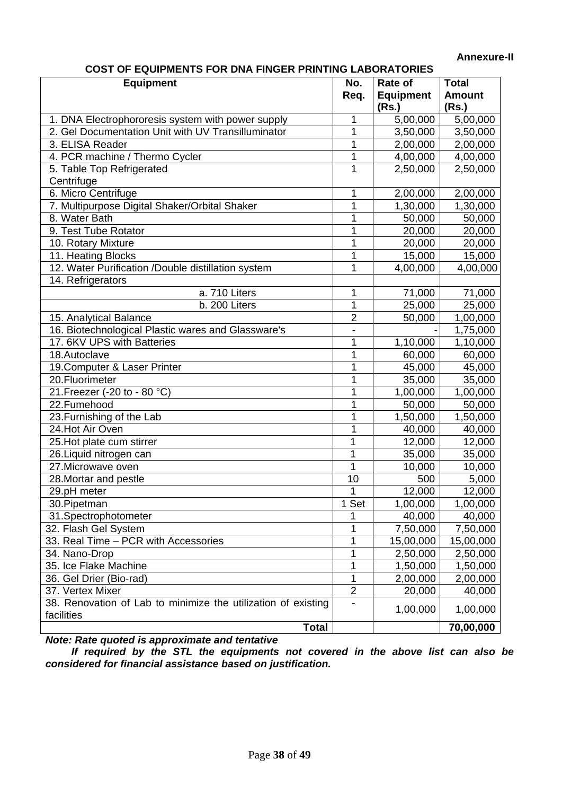#### **Annexure-II**

 **COST OF EQUIPMENTS FOR DNA FINGER PRINTING LABORATORIES** 

| <b>LAURINERIO LUIVULUI PI</b><br><b>Equipment</b>             | No.            | Rate of          | <b>Total</b>  |
|---------------------------------------------------------------|----------------|------------------|---------------|
|                                                               | Req.           | <b>Equipment</b> | <b>Amount</b> |
|                                                               |                | (Rs.)            | (Rs.)         |
| 1. DNA Electrophororesis system with power supply             | 1              | 5,00,000         | 5,00,000      |
| 2. Gel Documentation Unit with UV Transilluminator            | 1              | 3,50,000         | 3,50,000      |
| 3. ELISA Reader                                               | 1              | 2,00,000         | 2,00,000      |
| 4. PCR machine / Thermo Cycler                                | 1              | 4,00,000         | 4,00,000      |
| 5. Table Top Refrigerated                                     | 1              | 2,50,000         | 2,50,000      |
| Centrifuge                                                    |                |                  |               |
| 6. Micro Centrifuge                                           | 1              | 2,00,000         | 2,00,000      |
| 7. Multipurpose Digital Shaker/Orbital Shaker                 | 1              | 1,30,000         | 1,30,000      |
| 8. Water Bath                                                 | 1              | 50,000           | 50,000        |
| 9. Test Tube Rotator                                          | 1              | 20,000           | 20,000        |
| 10. Rotary Mixture                                            | 1              | 20,000           | 20,000        |
| 11. Heating Blocks                                            | 1              | 15,000           | 15,000        |
| 12. Water Purification /Double distillation system            | 1              | 4,00,000         | 4,00,000      |
| 14. Refrigerators                                             |                |                  |               |
| a. 710 Liters                                                 | 1              | 71,000           | 71,000        |
| b. 200 Liters                                                 | 1              | 25,000           | 25,000        |
| 15. Analytical Balance                                        | $\overline{2}$ | 50,000           | 1,00,000      |
| 16. Biotechnological Plastic wares and Glassware's            |                |                  | 1,75,000      |
| 17. 6KV UPS with Batteries                                    | 1              | 1,10,000         | 1,10,000      |
| 18.Autoclave                                                  | 1              | 60,000           | 60,000        |
| 19. Computer & Laser Printer                                  | 1              | 45,000           | 45,000        |
| 20. Fluorimeter                                               | 1              | 35,000           | 35,000        |
| 21. Freezer (-20 to - 80 °C)                                  | 1              | 1,00,000         | 1,00,000      |
| 22.Fumehood                                                   | 1              | 50,000           | 50,000        |
| 23. Furnishing of the Lab                                     | 1              | 1,50,000         | 1,50,000      |
| 24. Hot Air Oven                                              | 1              | 40,000           | 40,000        |
| 25. Hot plate cum stirrer                                     | 1              | 12,000           | 12,000        |
| 26. Liquid nitrogen can                                       | 1              | 35,000           | 35,000        |
| 27. Microwave oven                                            | 1              | 10,000           | 10,000        |
| 28. Mortar and pestle                                         | 10             | 500              | 5,000         |
| 29.pH meter                                                   | 1              | 12,000           | 12,000        |
| 30. Pipetman                                                  | 1 Set          | 1,00,000         | 1,00,000      |
| 31.Spectrophotometer                                          | 1              | 40,000           | 40,000        |
| 32. Flash Gel System                                          | 1              | 7,50,000         | 7,50,000      |
| 33. Real Time - PCR with Accessories                          | 1              | 15,00,000        | 15,00,000     |
| 34. Nano-Drop                                                 | 1              | 2,50,000         | 2,50,000      |
| 35. Ice Flake Machine                                         | 1              | 1,50,000         | 1,50,000      |
| 36. Gel Drier (Bio-rad)                                       | 1              | 2,00,000         | 2,00,000      |
| 37. Vertex Mixer                                              | $\overline{2}$ | 20,000           | 40,000        |
| 38. Renovation of Lab to minimize the utilization of existing |                | 1,00,000         | 1,00,000      |
| facilities                                                    |                |                  |               |
| <b>Total</b>                                                  |                |                  | 70,00,000     |

*Note: Rate quoted is approximate and tentative*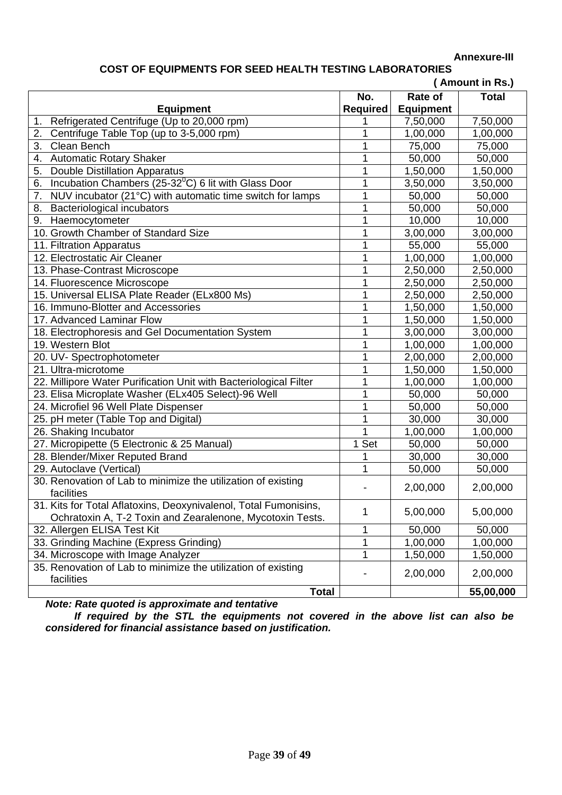#### **Annexure-III**

# **COST OF EQUIPMENTS FOR SEED HEALTH TESTING LABORATORIES**

|                                                                        |                |                  | (Amount in Rs.) |
|------------------------------------------------------------------------|----------------|------------------|-----------------|
|                                                                        | No.            | <b>Rate of</b>   | <b>Total</b>    |
| <b>Equipment</b>                                                       | Required       | <b>Equipment</b> |                 |
| Refrigerated Centrifuge (Up to 20,000 rpm)<br>1.                       |                | 7,50,000         | 7,50,000        |
| 2.<br>Centrifuge Table Top (up to 3-5,000 rpm)                         | 1              | 1,00,000         | 1,00,000        |
| 3.<br>Clean Bench                                                      | 1              | 75,000           | 75,000          |
| <b>Automatic Rotary Shaker</b><br>4.                                   | 1              | 50,000           | 50,000          |
| <b>Double Distillation Apparatus</b><br>5.                             | 1              | 1,50,000         | 1,50,000        |
| Incubation Chambers (25-32 <sup>0</sup> C) 6 lit with Glass Door<br>6. | 1              | 3,50,000         | 3,50,000        |
| 7.<br>NUV incubator (21°C) with automatic time switch for lamps        | 1              | 50,000           | 50,000          |
| <b>Bacteriological incubators</b><br>8.                                | 1              | 50,000           | 50,000          |
| Haemocytometer<br>9.                                                   | 1              | 10,000           | 10,000          |
| 10. Growth Chamber of Standard Size                                    | 1              | 3,00,000         | 3,00,000        |
| 11. Filtration Apparatus                                               | 1              | 55,000           | 55,000          |
| 12. Electrostatic Air Cleaner                                          | 1              | 1,00,000         | 1,00,000        |
| 13. Phase-Contrast Microscope                                          | 1              | 2,50,000         | 2,50,000        |
| 14. Fluorescence Microscope                                            | 1              | 2,50,000         | 2,50,000        |
| 15. Universal ELISA Plate Reader (ELx800 Ms)                           | 1              | 2,50,000         | 2,50,000        |
| 16. Immuno-Blotter and Accessories                                     | 1              | 1,50,000         | 1,50,000        |
| 17. Advanced Laminar Flow                                              | 1              | 1,50,000         | 1,50,000        |
| 18. Electrophoresis and Gel Documentation System                       | 1              | 3,00,000         | 3,00,000        |
| 19. Western Blot                                                       | 1              | 1,00,000         | 1,00,000        |
| 20. UV- Spectrophotometer                                              | 1              | 2,00,000         | 2,00,000        |
| 21. Ultra-microtome                                                    | 1              | 1,50,000         | 1,50,000        |
| 22. Millipore Water Purification Unit with Bacteriological Filter      | 1              | 1,00,000         | 1,00,000        |
| 23. Elisa Microplate Washer (ELx405 Select)-96 Well                    | 1              | 50,000           | 50,000          |
| 24. Microfiel 96 Well Plate Dispenser                                  | 1              | 50,000           | 50,000          |
| 25. pH meter (Table Top and Digital)                                   | 1              | 30,000           | 30,000          |
| 26. Shaking Incubator                                                  |                | 1,00,000         | 1,00,000        |
| 27. Micropipette (5 Electronic & 25 Manual)                            | 1 Set          | 50,000           | 50,000          |
| 28. Blender/Mixer Reputed Brand                                        | 1              | 30,000           | 30,000          |
| 29. Autoclave (Vertical)                                               | $\overline{1}$ | 50,000           | 50,000          |
| 30. Renovation of Lab to minimize the utilization of existing          |                |                  |                 |
| facilities                                                             |                | 2,00,000         | 2,00,000        |
| 31. Kits for Total Aflatoxins, Deoxynivalenol, Total Fumonisins,       |                | 5,00,000         | 5,00,000        |
| Ochratoxin A, T-2 Toxin and Zearalenone, Mycotoxin Tests.              | 1              |                  |                 |
| 32. Allergen ELISA Test Kit                                            | 1              | 50,000           | 50,000          |
| 33. Grinding Machine (Express Grinding)                                | 1              | 1,00,000         | 1,00,000        |
| 34. Microscope with Image Analyzer                                     | 1              | 1,50,000         | 1,50,000        |
| 35. Renovation of Lab to minimize the utilization of existing          |                | 2,00,000         | 2,00,000        |
| facilities                                                             |                |                  |                 |
| <b>Total</b>                                                           |                |                  | 55,00,000       |

*Note: Rate quoted is approximate and tentative*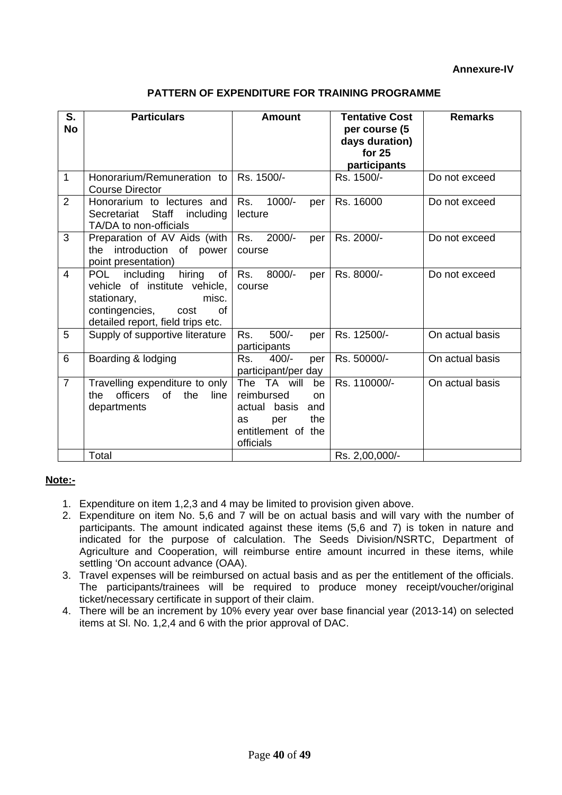| <b>PATTERN OF EXPENDITURE FOR TRAINING PROGRAMME</b> |
|------------------------------------------------------|
|------------------------------------------------------|

| S.             | <b>Particulars</b>                                                                                                                                                    |                                                                                                                     | <b>Tentative Cost</b>                                     | <b>Remarks</b>  |
|----------------|-----------------------------------------------------------------------------------------------------------------------------------------------------------------------|---------------------------------------------------------------------------------------------------------------------|-----------------------------------------------------------|-----------------|
| <b>No</b>      |                                                                                                                                                                       | <b>Amount</b>                                                                                                       | per course (5<br>days duration)<br>for 25<br>participants |                 |
| 1              | Honorarium/Remuneration to<br><b>Course Director</b>                                                                                                                  | Rs. 1500/-                                                                                                          | Rs. 1500/-                                                | Do not exceed   |
| 2              | Honorarium to lectures and<br>Secretariat Staff including<br>TA/DA to non-officials                                                                                   | $1000/-$<br>Rs.<br>per<br>lecture                                                                                   | Rs. 16000                                                 | Do not exceed   |
| 3              | Preparation of AV Aids (with<br>introduction<br>of<br>the<br>power<br>point presentation)                                                                             | 2000/-<br>Rs.<br>per<br>course                                                                                      | Rs. 2000/-                                                | Do not exceed   |
| 4              | including<br>hiring<br>of<br><b>POL</b><br>vehicle of institute vehicle,<br>stationary,<br>misc.<br>contingencies,<br>0f<br>cost<br>detailed report, field trips etc. | 8000/-<br>Rs.<br>per<br>course                                                                                      | Rs. 8000/-                                                | Do not exceed   |
| 5              | Supply of supportive literature                                                                                                                                       | $500/-$<br>Rs.<br>per<br>participants                                                                               | Rs. 12500/-                                               | On actual basis |
| 6              | Boarding & lodging                                                                                                                                                    | Rs.<br>$400/-$<br>per<br>participant/per day                                                                        | Rs. 50000/-                                               | On actual basis |
| $\overline{7}$ | Travelling expenditure to only<br>of<br>officers<br>the<br>line<br>the<br>departments                                                                                 | The TA will<br>be<br>reimbursed<br>on<br>actual basis<br>and<br>the<br>as<br>per<br>entitlement of the<br>officials | Rs. 110000/-                                              | On actual basis |
|                | Total                                                                                                                                                                 |                                                                                                                     | Rs. 2,00,000/-                                            |                 |

## **Note:-**

- 1. Expenditure on item 1,2,3 and 4 may be limited to provision given above.
- 2. Expenditure on item No. 5,6 and 7 will be on actual basis and will vary with the number of participants. The amount indicated against these items (5,6 and 7) is token in nature and indicated for the purpose of calculation. The Seeds Division/NSRTC, Department of Agriculture and Cooperation, will reimburse entire amount incurred in these items, while settling 'On account advance (OAA).
- 3. Travel expenses will be reimbursed on actual basis and as per the entitlement of the officials. The participants/trainees will be required to produce money receipt/voucher/original ticket/necessary certificate in support of their claim.
- 4. There will be an increment by 10% every year over base financial year (2013-14) on selected items at Sl. No. 1,2,4 and 6 with the prior approval of DAC.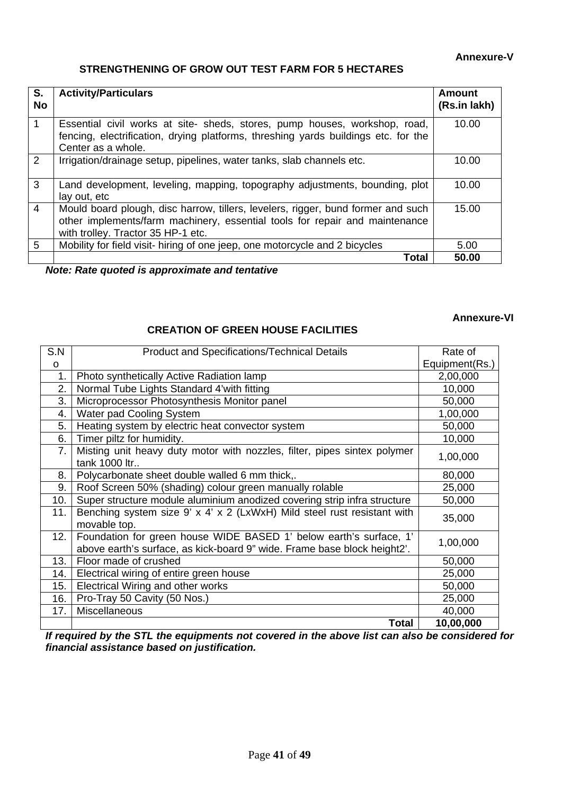#### **Annexure-V**

# **STRENGTHENING OF GROW OUT TEST FARM FOR 5 HECTARES**

| S.<br><b>No</b> | <b>Activity/Particulars</b>                                                                                                                                                                           | Amount<br>(Rs.in lakh) |
|-----------------|-------------------------------------------------------------------------------------------------------------------------------------------------------------------------------------------------------|------------------------|
| 1               | Essential civil works at site- sheds, stores, pump houses, workshop, road,<br>fencing, electrification, drying platforms, threshing yards buildings etc. for the<br>Center as a whole.                | 10.00                  |
| 2               | Irrigation/drainage setup, pipelines, water tanks, slab channels etc.                                                                                                                                 | 10.00                  |
| 3               | Land development, leveling, mapping, topography adjustments, bounding, plot<br>lay out, etc                                                                                                           | 10.00                  |
| $\overline{4}$  | Mould board plough, disc harrow, tillers, levelers, rigger, bund former and such<br>other implements/farm machinery, essential tools for repair and maintenance<br>with trolley. Tractor 35 HP-1 etc. | 15.00                  |
| 5               | Mobility for field visit- hiring of one jeep, one motorcycle and 2 bicycles                                                                                                                           | 5.00                   |
|                 | Total                                                                                                                                                                                                 | 50.00                  |

*Note: Rate quoted is approximate and tentative* 

# **Annexure-VI**

### **CREATION OF GREEN HOUSE FACILITIES**

| S.N          | <b>Product and Specifications/Technical Details</b>                      | Rate of        |
|--------------|--------------------------------------------------------------------------|----------------|
| $\mathsf{o}$ |                                                                          | Equipment(Rs.) |
| 1.           | Photo synthetically Active Radiation lamp                                | 2,00,000       |
| 2.           | Normal Tube Lights Standard 4'with fitting                               | 10,000         |
| 3.           | Microprocessor Photosynthesis Monitor panel                              | 50,000         |
| 4.           | Water pad Cooling System                                                 | 1,00,000       |
| 5.           | Heating system by electric heat convector system                         | 50,000         |
| 6.           | Timer piltz for humidity.                                                | 10,000         |
| 7.           | Misting unit heavy duty motor with nozzles, filter, pipes sintex polymer | 1,00,000       |
|              | tank 1000 ltr                                                            |                |
| 8.           | Polycarbonate sheet double walled 6 mm thick,.                           | 80,000         |
| 9.           | Roof Screen 50% (shading) colour green manually rolable                  | 25,000         |
| 10.          | Super structure module aluminium anodized covering strip infra structure | 50,000         |
| 11.          | Benching system size 9' x 4' x 2 (LxWxH) Mild steel rust resistant with  | 35,000         |
|              | movable top.                                                             |                |
| 12.          | Foundation for green house WIDE BASED 1' below earth's surface, 1'       | 1,00,000       |
|              | above earth's surface, as kick-board 9" wide. Frame base block height2'. |                |
| 13.          | Floor made of crushed                                                    | 50,000         |
| 14.          | Electrical wiring of entire green house                                  | 25,000         |
| 15.          | Electrical Wiring and other works                                        | 50,000         |
| 16.          | Pro-Tray 50 Cavity (50 Nos.)                                             | 25,000         |
| 17.          | Miscellaneous                                                            | 40,000         |
|              | Total                                                                    | 10,00,000      |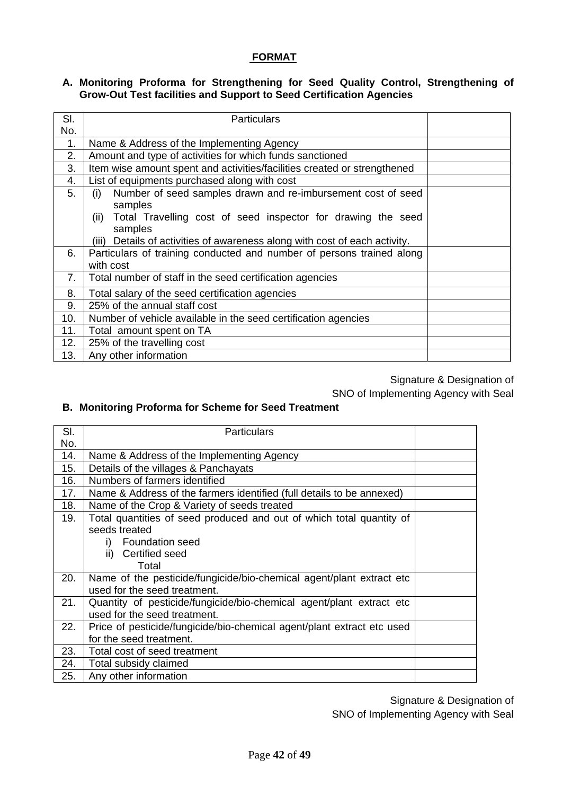## **FORMAT**

#### **A. Monitoring Proforma for Strengthening for Seed Quality Control, Strengthening of Grow-Out Test facilities and Support to Seed Certification Agencies**

| SI. | <b>Particulars</b>                                                         |  |
|-----|----------------------------------------------------------------------------|--|
| No. |                                                                            |  |
| 1.  | Name & Address of the Implementing Agency                                  |  |
| 2.  | Amount and type of activities for which funds sanctioned                   |  |
| 3.  | Item wise amount spent and activities/facilities created or strengthened   |  |
| 4.  | List of equipments purchased along with cost                               |  |
| 5.  | Number of seed samples drawn and re-imbursement cost of seed<br>(i)        |  |
|     | samples                                                                    |  |
|     | Total Travelling cost of seed inspector for drawing the seed<br>(ii)       |  |
|     | samples                                                                    |  |
|     | (iii) Details of activities of awareness along with cost of each activity. |  |
| 6.  | Particulars of training conducted and number of persons trained along      |  |
|     | with cost                                                                  |  |
| 7.  | Total number of staff in the seed certification agencies                   |  |
| 8.  | Total salary of the seed certification agencies                            |  |
| 9.  | 25% of the annual staff cost                                               |  |
| 10. | Number of vehicle available in the seed certification agencies             |  |
| 11. | Total amount spent on TA                                                   |  |
| 12. | 25% of the travelling cost                                                 |  |
| 13. | Any other information                                                      |  |

Signature & Designation of SNO of Implementing Agency with Seal

#### **B. Monitoring Proforma for Scheme for Seed Treatment**

| SI. | <b>Particulars</b>                                                     |  |
|-----|------------------------------------------------------------------------|--|
| No. |                                                                        |  |
| 14. | Name & Address of the Implementing Agency                              |  |
| 15. | Details of the villages & Panchayats                                   |  |
| 16. | Numbers of farmers identified                                          |  |
| 17. | Name & Address of the farmers identified (full details to be annexed)  |  |
| 18. | Name of the Crop & Variety of seeds treated                            |  |
| 19. | Total quantities of seed produced and out of which total quantity of   |  |
|     | seeds treated                                                          |  |
|     | Foundation seed                                                        |  |
|     | Certified seed<br>ii)                                                  |  |
|     | Total                                                                  |  |
| 20. | Name of the pesticide/fungicide/bio-chemical agent/plant extract etc   |  |
|     | used for the seed treatment.                                           |  |
| 21. | Quantity of pesticide/fungicide/bio-chemical agent/plant extract etc   |  |
|     | used for the seed treatment.                                           |  |
| 22. | Price of pesticide/fungicide/bio-chemical agent/plant extract etc used |  |
|     | for the seed treatment.                                                |  |
| 23. | Total cost of seed treatment                                           |  |
| 24. | Total subsidy claimed                                                  |  |
| 25. | Any other information                                                  |  |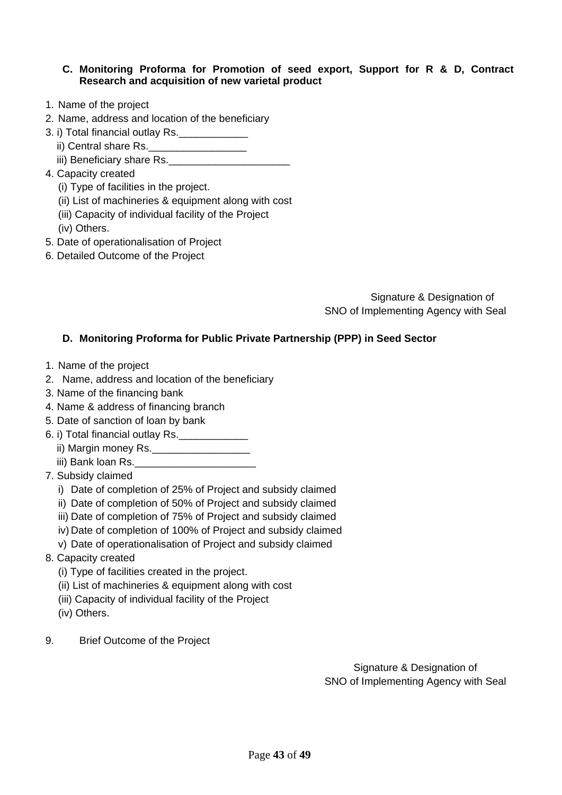#### **C. Monitoring Proforma for Promotion of seed export, Support for R & D, Contract Research and acquisition of new varietal product**

- 1. Name of the project
- 2. Name, address and location of the beneficiary
- 3. i) Total financial outlay Rs.
	- ii) Central share Rs.\_\_\_\_\_\_\_\_\_\_\_\_\_\_\_\_\_
	- iii) Beneficiary share Rs.
- 4. Capacity created
	- (i) Type of facilities in the project.
	- (ii) List of machineries & equipment along with cost
	- (iii) Capacity of individual facility of the Project
	- (iv) Others.
- 5. Date of operationalisation of Project
- 6. Detailed Outcome of the Project

Signature & Designation of SNO of Implementing Agency with Seal

#### **D. Monitoring Proforma for Public Private Partnership (PPP) in Seed Sector**

- 1. Name of the project
- 2. Name, address and location of the beneficiary
- 3. Name of the financing bank
- 4. Name & address of financing branch
- 5. Date of sanction of loan by bank
- 6. i) Total financial outlay Rs.\_\_\_\_\_\_\_\_\_\_\_\_
	- ii) Margin money Rs.\_\_\_\_\_\_\_\_\_\_\_\_\_\_\_\_\_
	- iii) Bank loan Rs.
- 7. Subsidy claimed
	- i) Date of completion of 25% of Project and subsidy claimed
	- ii) Date of completion of 50% of Project and subsidy claimed
	- iii) Date of completion of 75% of Project and subsidy claimed
	- iv) Date of completion of 100% of Project and subsidy claimed
	- v) Date of operationalisation of Project and subsidy claimed
- 8. Capacity created
	- (i) Type of facilities created in the project.
	- (ii) List of machineries & equipment along with cost
	- (iii) Capacity of individual facility of the Project
	- (iv) Others.
- 9. Brief Outcome of the Project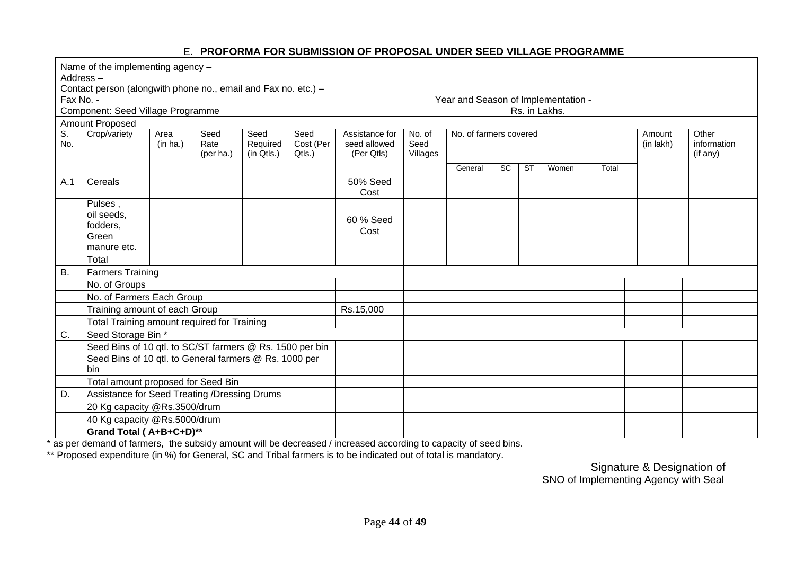### E. **PROFORMA FOR SUBMISSION OF PROPOSAL UNDER SEED VILLAGE PROGRAMME**

|                                  | Name of the implementing agency -<br>Address-<br>Contact person (alongwith phone no., email and Fax no. etc.) -<br>Fax No. -<br>Year and Season of Implementation - |                  |                           |                                |                             |                                              |                            |                        |    |           |               |       |                     |                                  |
|----------------------------------|---------------------------------------------------------------------------------------------------------------------------------------------------------------------|------------------|---------------------------|--------------------------------|-----------------------------|----------------------------------------------|----------------------------|------------------------|----|-----------|---------------|-------|---------------------|----------------------------------|
|                                  | Component: Seed Village Programme                                                                                                                                   |                  |                           |                                |                             |                                              |                            |                        |    |           | Rs. in Lakhs. |       |                     |                                  |
|                                  | Amount Proposed                                                                                                                                                     |                  |                           |                                |                             |                                              |                            |                        |    |           |               |       |                     |                                  |
| $\overline{\mathsf{S}}$ .<br>No. | Crop/variety                                                                                                                                                        | Area<br>(in ha.) | Seed<br>Rate<br>(per ha.) | Seed<br>Required<br>(in Qtls.) | Seed<br>Cost (Per<br>Qtls.) | Assistance for<br>seed allowed<br>(Per Qtls) | No. of<br>Seed<br>Villages | No. of farmers covered |    |           |               |       | Amount<br>(in lakh) | Other<br>information<br>(if any) |
|                                  |                                                                                                                                                                     |                  |                           |                                |                             |                                              |                            | General                | SC | <b>ST</b> | Women         | Total |                     |                                  |
| A.1                              | Cereals                                                                                                                                                             |                  |                           |                                |                             | <b>50% Seed</b><br>Cost                      |                            |                        |    |           |               |       |                     |                                  |
|                                  | Pulses,<br>oil seeds,<br>fodders,<br>Green<br>manure etc.                                                                                                           |                  |                           |                                |                             | 60 % Seed<br>Cost                            |                            |                        |    |           |               |       |                     |                                  |
|                                  | Total                                                                                                                                                               |                  |                           |                                |                             |                                              |                            |                        |    |           |               |       |                     |                                  |
| <b>B.</b>                        | <b>Farmers Training</b>                                                                                                                                             |                  |                           |                                |                             |                                              |                            |                        |    |           |               |       |                     |                                  |
|                                  | No. of Groups                                                                                                                                                       |                  |                           |                                |                             |                                              |                            |                        |    |           |               |       |                     |                                  |
|                                  | No. of Farmers Each Group                                                                                                                                           |                  |                           |                                |                             |                                              |                            |                        |    |           |               |       |                     |                                  |
|                                  | Training amount of each Group                                                                                                                                       |                  |                           |                                |                             | Rs.15,000                                    |                            |                        |    |           |               |       |                     |                                  |
|                                  | Total Training amount required for Training                                                                                                                         |                  |                           |                                |                             |                                              |                            |                        |    |           |               |       |                     |                                  |
| C.                               | Seed Storage Bin *                                                                                                                                                  |                  |                           |                                |                             |                                              |                            |                        |    |           |               |       |                     |                                  |
|                                  | Seed Bins of 10 qtl. to SC/ST farmers @ Rs. 1500 per bin                                                                                                            |                  |                           |                                |                             |                                              |                            |                        |    |           |               |       |                     |                                  |
|                                  | Seed Bins of 10 qtl. to General farmers @ Rs. 1000 per<br>bin                                                                                                       |                  |                           |                                |                             |                                              |                            |                        |    |           |               |       |                     |                                  |
|                                  | Total amount proposed for Seed Bin                                                                                                                                  |                  |                           |                                |                             |                                              |                            |                        |    |           |               |       |                     |                                  |
| D.                               | Assistance for Seed Treating /Dressing Drums                                                                                                                        |                  |                           |                                |                             |                                              |                            |                        |    |           |               |       |                     |                                  |
|                                  | 20 Kg capacity @Rs.3500/drum                                                                                                                                        |                  |                           |                                |                             |                                              |                            |                        |    |           |               |       |                     |                                  |
|                                  | 40 Kg capacity @Rs.5000/drum                                                                                                                                        |                  |                           |                                |                             |                                              |                            |                        |    |           |               |       |                     |                                  |
|                                  | Grand Total (A+B+C+D)**                                                                                                                                             |                  |                           |                                |                             |                                              |                            |                        |    |           |               |       |                     |                                  |

\* as per demand of farmers, the subsidy amount will be decreased / increased according to capacity of seed bins.

\*\* Proposed expenditure (in %) for General, SC and Tribal farmers is to be indicated out of total is mandatory.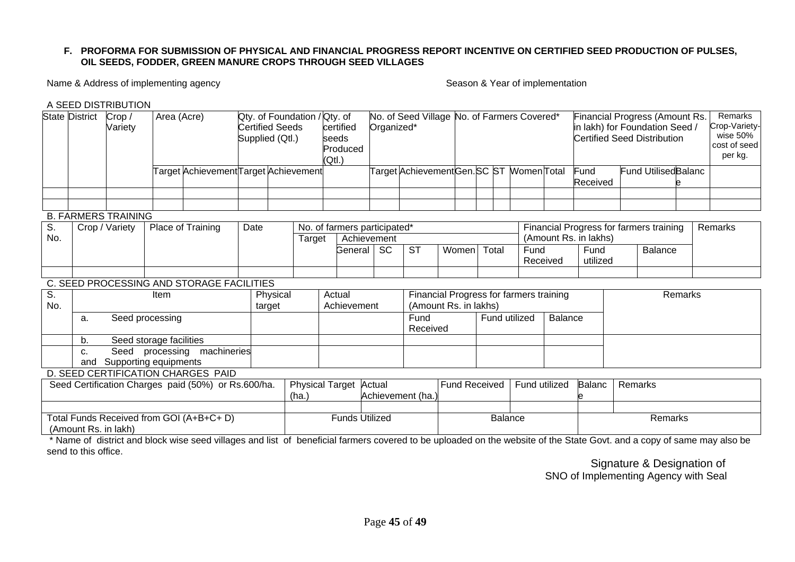#### **F. PROFORMA FOR SUBMISSION OF PHYSICAL AND FINANCIAL PROGRESS REPORT INCENTIVE ON CERTIFIED SEED PRODUCTION OF PULSES, OIL SEEDS, FODDER, GREEN MANURE CROPS THROUGH SEED VILLAGES**

Name & Address of implementing agency Season & Year of implementation

A SEED DISTRIBUTION

|                                                                                           | State District                                                            | Crop /<br>Variety     | Area (Acre)             |                                           | <b>Certified Seeds</b><br>Supplied (Qtl.) |                    | Qty. of Foundation / Qty. of<br>certified<br>seeds<br>Produced<br>(Qtl.) |         |                      | Organized*                                                       |               | No. of Seed Village No. of Farmers Covered* |      |          | Financial Progress (Amount Rs.<br>in lakh) for Foundation Seed /<br><b>Certified Seed Distribution</b> |  |                            | Remarks<br>Crop-Variety-<br>wise 50%<br>cost of seed<br>per kg. |  |
|-------------------------------------------------------------------------------------------|---------------------------------------------------------------------------|-----------------------|-------------------------|-------------------------------------------|-------------------------------------------|--------------------|--------------------------------------------------------------------------|---------|----------------------|------------------------------------------------------------------|---------------|---------------------------------------------|------|----------|--------------------------------------------------------------------------------------------------------|--|----------------------------|-----------------------------------------------------------------|--|
|                                                                                           |                                                                           |                       |                         | Farget Achievement∏arget Achievement      |                                           |                    |                                                                          |         |                      | Target AchievementGen.SC ST MomenTotal                           |               |                                             |      |          | Fund<br>Received                                                                                       |  | <b>Fund UtilisedBalanc</b> |                                                                 |  |
|                                                                                           |                                                                           |                       |                         |                                           |                                           |                    |                                                                          |         |                      |                                                                  |               |                                             |      |          |                                                                                                        |  |                            |                                                                 |  |
|                                                                                           |                                                                           |                       |                         |                                           |                                           |                    |                                                                          |         |                      |                                                                  |               |                                             |      |          |                                                                                                        |  |                            |                                                                 |  |
| S.<br>No.                                                                                 | <b>B. FARMERS TRAINING</b><br>Place of Training<br>Crop / Variety<br>Date |                       |                         | No. of farmers participated*<br>Target    |                                           | Achievement        |                                                                          |         |                      | Financial Progress for farmers training<br>(Amount Rs. in lakhs) |               |                                             |      |          | Remarks                                                                                                |  |                            |                                                                 |  |
|                                                                                           |                                                                           |                       |                         |                                           |                                           |                    |                                                                          | General | <b>SC</b>            | <b>ST</b>                                                        | Women         | Total                                       | Fund | Received | Fund<br>utilized                                                                                       |  | Balance                    |                                                                 |  |
|                                                                                           |                                                                           |                       |                         |                                           |                                           |                    |                                                                          |         |                      |                                                                  |               |                                             |      |          |                                                                                                        |  |                            |                                                                 |  |
|                                                                                           |                                                                           |                       |                         | C. SEED PROCESSING AND STORAGE FACILITIES |                                           |                    |                                                                          |         |                      |                                                                  |               |                                             |      |          |                                                                                                        |  |                            |                                                                 |  |
| $\overline{\mathsf{S}}$ .<br>No.                                                          |                                                                           |                       | Item                    |                                           |                                           | Physical<br>target | Actual<br>Achievement                                                    |         |                      | Financial Progress for farmers training<br>(Amount Rs. in lakhs) |               |                                             |      |          | Remarks                                                                                                |  |                            |                                                                 |  |
|                                                                                           | a.                                                                        |                       | Seed processing         |                                           |                                           |                    | Fund<br>Received                                                         |         |                      | Fund utilized<br><b>Balance</b>                                  |               |                                             |      |          |                                                                                                        |  |                            |                                                                 |  |
|                                                                                           | b.                                                                        |                       | Seed storage facilities |                                           |                                           |                    |                                                                          |         |                      |                                                                  |               |                                             |      |          |                                                                                                        |  |                            |                                                                 |  |
|                                                                                           | C.                                                                        | Seed                  |                         | processing machineries                    |                                           |                    |                                                                          |         |                      |                                                                  |               |                                             |      |          |                                                                                                        |  |                            |                                                                 |  |
|                                                                                           | and                                                                       | Supporting equipments |                         |                                           |                                           |                    |                                                                          |         |                      |                                                                  |               |                                             |      |          |                                                                                                        |  |                            |                                                                 |  |
| D. SEED CERTIFICATION CHARGES PAID<br>Seed Certification Charges paid (50%) or Rs.600/ha. |                                                                           |                       |                         | <b>Physical Target</b><br>(ha.)           |                                           | Actual             | Achievement (ha.)                                                        |         | <b>Fund Received</b> |                                                                  | Fund utilized | <b>Balanc</b>                               |      | Remarks  |                                                                                                        |  |                            |                                                                 |  |
|                                                                                           |                                                                           |                       |                         |                                           |                                           |                    |                                                                          |         |                      |                                                                  |               |                                             |      |          |                                                                                                        |  |                            |                                                                 |  |
| Total Funds Received from GOI (A+B+C+ D)<br>(Amount Rs. in lakh)                          |                                                                           |                       |                         | <b>Funds Utilized</b>                     |                                           |                    | <b>Balance</b>                                                           |         |                      |                                                                  | Remarks       |                                             |      |          |                                                                                                        |  |                            |                                                                 |  |

 \* Name of district and block wise seed villages and list of beneficial farmers covered to be uploaded on the website of the State Govt. and a copy of same may also be send to this office.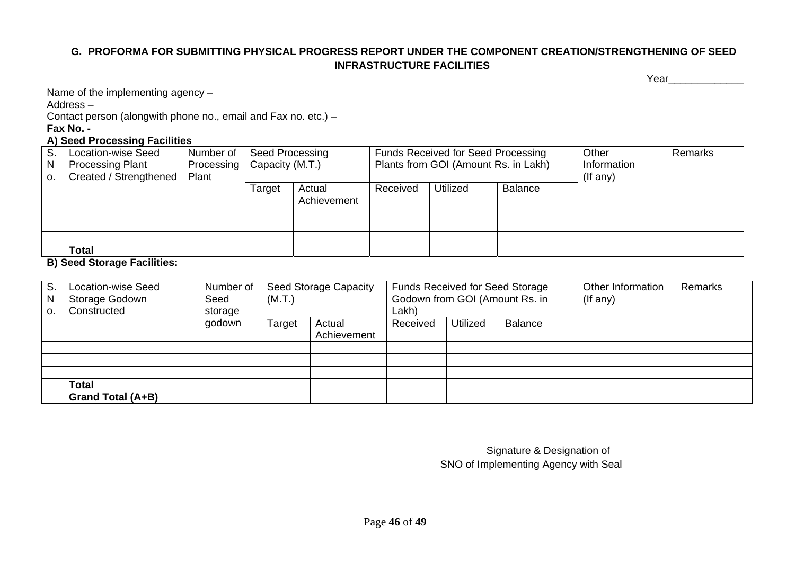## **G. PROFORMA FOR SUBMITTING PHYSICAL PROGRESS REPORT UNDER THE COMPONENT CREATION/STRENGTHENING OF SEED INFRASTRUCTURE FACILITIES**

Year\_\_\_\_\_\_\_\_\_\_\_\_\_

Name of the implementing agency –

Address –

Contact person (alongwith phone no., email and Fax no. etc.) –

**Fax No. -** 

### **A) Seed Processing Facilities**

| S.<br>N.<br>$\Omega$ . | <b>Location-wise Seed</b><br><b>Processing Plant</b><br>Created / Strengthened | Number of<br>Processing   Capacity (M.T.)<br>Plant | Seed Processing |                       |          | <b>Funds Received for Seed Processing</b><br>Plants from GOI (Amount Rs. in Lakh) |                | Other<br>Information<br>$($ If any $)$ | Remarks |
|------------------------|--------------------------------------------------------------------------------|----------------------------------------------------|-----------------|-----------------------|----------|-----------------------------------------------------------------------------------|----------------|----------------------------------------|---------|
|                        |                                                                                |                                                    | Target          | Actual<br>Achievement | Received | Utilized                                                                          | <b>Balance</b> |                                        |         |
|                        |                                                                                |                                                    |                 |                       |          |                                                                                   |                |                                        |         |
|                        |                                                                                |                                                    |                 |                       |          |                                                                                   |                |                                        |         |
|                        |                                                                                |                                                    |                 |                       |          |                                                                                   |                |                                        |         |
|                        | <b>Total</b><br>$\overline{\phantom{a}}$<br>                                   |                                                    |                 |                       |          |                                                                                   |                |                                        |         |

**B) Seed Storage Facilities:** 

| S.<br>N<br>$\Omega$ . | <b>Location-wise Seed</b><br>Storage Godown<br>Constructed | Number of<br>Seed<br>storage | (M.T.) | <b>Seed Storage Capacity</b> | <b>Funds Received for Seed Storage</b><br>Godown from GOI (Amount Rs. in<br>Lakh) |                 |                | Other Information<br>$($ lf any $)$ | Remarks |
|-----------------------|------------------------------------------------------------|------------------------------|--------|------------------------------|-----------------------------------------------------------------------------------|-----------------|----------------|-------------------------------------|---------|
|                       |                                                            | godown                       | Target | Actual<br>Achievement        | Received                                                                          | <b>Utilized</b> | <b>Balance</b> |                                     |         |
|                       |                                                            |                              |        |                              |                                                                                   |                 |                |                                     |         |
|                       |                                                            |                              |        |                              |                                                                                   |                 |                |                                     |         |
|                       |                                                            |                              |        |                              |                                                                                   |                 |                |                                     |         |
|                       | <b>Total</b>                                               |                              |        |                              |                                                                                   |                 |                |                                     |         |
|                       | Grand Total (A+B)                                          |                              |        |                              |                                                                                   |                 |                |                                     |         |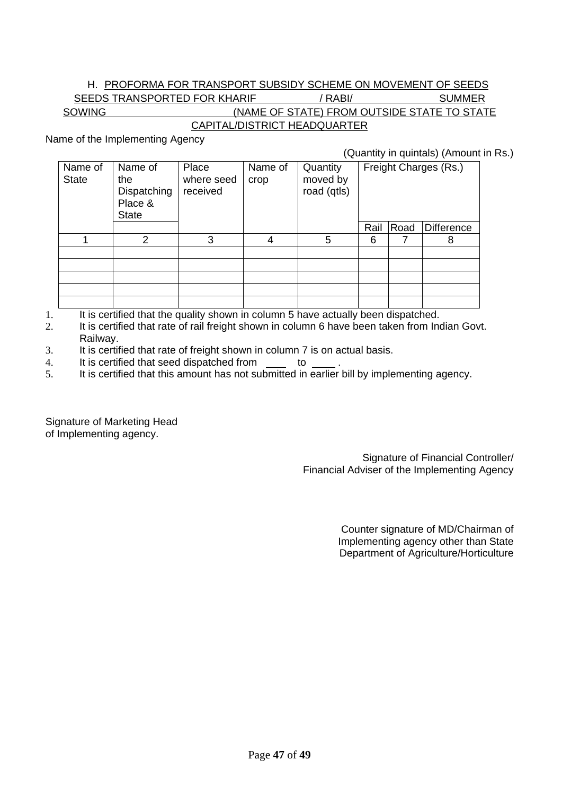## H. PROFORMA FOR TRANSPORT SUBSIDY SCHEME ON MOVEMENT OF SEEDS

SEEDS TRANSPORTED FOR KHARIF / RABI/ SUMMER SOWING (NAME OF STATE) FROM OUTSIDE STATE TO STATE

# CAPITAL/DISTRICT HEADQUARTER

Name of the Implementing Agency

(Quantity in quintals) (Amount in Rs.)

| Name of<br><b>State</b> | Name of<br>the<br>Dispatching<br>Place &<br><b>State</b> | Place<br>where seed<br>received | Name of<br>crop | Quantity<br>moved by<br>road (qtls) |      | Freight Charges (Rs.) |                   |
|-------------------------|----------------------------------------------------------|---------------------------------|-----------------|-------------------------------------|------|-----------------------|-------------------|
|                         |                                                          |                                 |                 |                                     | Rail | Road                  | <b>Difference</b> |
|                         | 2                                                        | 3                               |                 | 5                                   | 6    |                       | 8                 |
|                         |                                                          |                                 |                 |                                     |      |                       |                   |
|                         |                                                          |                                 |                 |                                     |      |                       |                   |
|                         |                                                          |                                 |                 |                                     |      |                       |                   |
|                         |                                                          |                                 |                 |                                     |      |                       |                   |
|                         |                                                          |                                 |                 |                                     |      |                       |                   |

- 1. It is certified that the quality shown in column 5 have actually been dispatched.
- 2. It is certified that rate of rail freight shown in column 6 have been taken from Indian Govt. Railway.
- 3. It is certified that rate of freight shown in column 7 is on actual basis.
- 4. It is certified that seed dispatched from to
- 5. It is certified that this amount has not submitted in earlier bill by implementing agency.

Signature of Marketing Head of Implementing agency.

> Signature of Financial Controller/ Financial Adviser of the Implementing Agency

> > Counter signature of MD/Chairman of Implementing agency other than State Department of Agriculture/Horticulture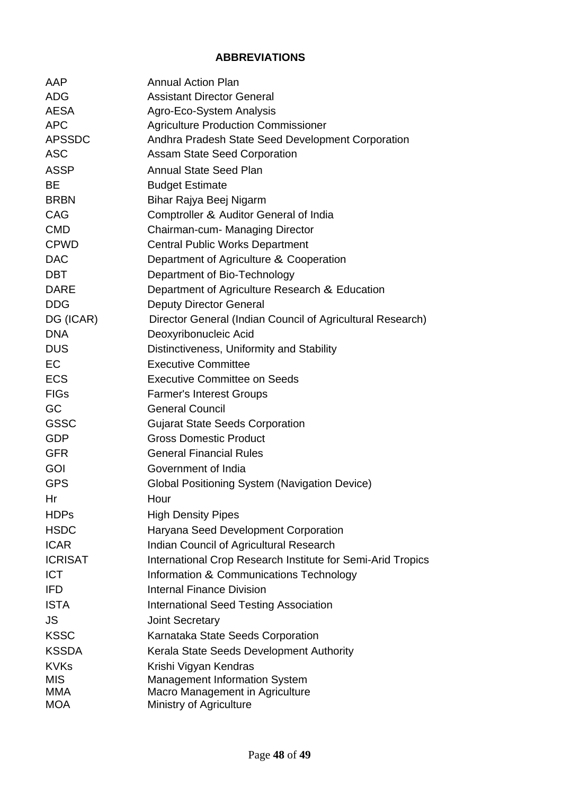## **ABBREVIATIONS**

| AAP            | <b>Annual Action Plan</b>                                   |
|----------------|-------------------------------------------------------------|
| <b>ADG</b>     | <b>Assistant Director General</b>                           |
| <b>AESA</b>    | Agro-Eco-System Analysis                                    |
| <b>APC</b>     | <b>Agriculture Production Commissioner</b>                  |
| <b>APSSDC</b>  | Andhra Pradesh State Seed Development Corporation           |
| <b>ASC</b>     | <b>Assam State Seed Corporation</b>                         |
| <b>ASSP</b>    | <b>Annual State Seed Plan</b>                               |
| <b>BE</b>      | <b>Budget Estimate</b>                                      |
| <b>BRBN</b>    | Bihar Rajya Beej Nigarm                                     |
| CAG            | Comptroller & Auditor General of India                      |
| <b>CMD</b>     | Chairman-cum- Managing Director                             |
| <b>CPWD</b>    | <b>Central Public Works Department</b>                      |
| <b>DAC</b>     | Department of Agriculture & Cooperation                     |
| <b>DBT</b>     | Department of Bio-Technology                                |
| <b>DARE</b>    | Department of Agriculture Research & Education              |
| <b>DDG</b>     | <b>Deputy Director General</b>                              |
| DG (ICAR)      | Director General (Indian Council of Agricultural Research)  |
| <b>DNA</b>     | Deoxyribonucleic Acid                                       |
| <b>DUS</b>     | Distinctiveness, Uniformity and Stability                   |
| <b>EC</b>      | <b>Executive Committee</b>                                  |
| <b>ECS</b>     | <b>Executive Committee on Seeds</b>                         |
| <b>FIGs</b>    | <b>Farmer's Interest Groups</b>                             |
| GC             | <b>General Council</b>                                      |
| <b>GSSC</b>    | <b>Gujarat State Seeds Corporation</b>                      |
| <b>GDP</b>     | <b>Gross Domestic Product</b>                               |
| <b>GFR</b>     | <b>General Financial Rules</b>                              |
| GOI            | Government of India                                         |
| <b>GPS</b>     | Global Positioning System (Navigation Device)               |
| Hr             | Hour                                                        |
| <b>HDPs</b>    | <b>High Density Pipes</b>                                   |
| <b>HSDC</b>    | Haryana Seed Development Corporation                        |
| <b>ICAR</b>    | <b>Indian Council of Agricultural Research</b>              |
| <b>ICRISAT</b> | International Crop Research Institute for Semi-Arid Tropics |
| <b>ICT</b>     | Information & Communications Technology                     |
| <b>IFD</b>     | <b>Internal Finance Division</b>                            |
| <b>ISTA</b>    | <b>International Seed Testing Association</b>               |
| <b>JS</b>      | <b>Joint Secretary</b>                                      |
| <b>KSSC</b>    | Karnataka State Seeds Corporation                           |
| <b>KSSDA</b>   | Kerala State Seeds Development Authority                    |
| <b>KVKs</b>    | Krishi Vigyan Kendras                                       |
| <b>MIS</b>     | <b>Management Information System</b>                        |
| <b>MMA</b>     | Macro Management in Agriculture                             |
| <b>MOA</b>     | Ministry of Agriculture                                     |